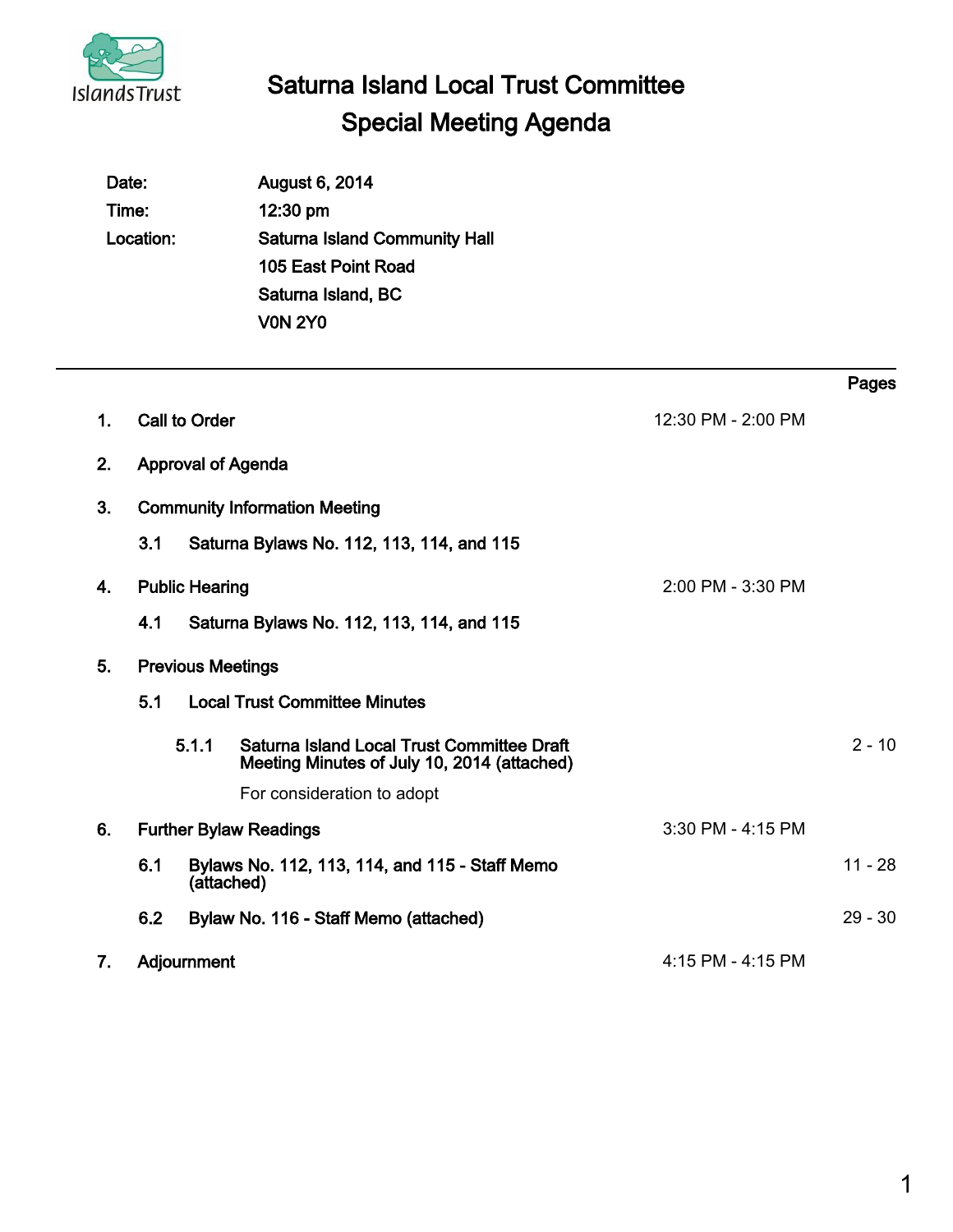

 $\overline{a}$ 

# Saturna Island Local Trust Committee Special Meeting Agenda

|    | Date:<br>Time:<br>Location: |                          | August 6, 2014<br>12:30 pm<br><b>Saturna Island Community Hall</b><br>105 East Point Road<br>Saturna Island, BC<br><b>V0N 2Y0</b> |                    |           |
|----|-----------------------------|--------------------------|-----------------------------------------------------------------------------------------------------------------------------------|--------------------|-----------|
|    |                             |                          |                                                                                                                                   |                    | Pages     |
| 1. |                             | <b>Call to Order</b>     |                                                                                                                                   | 12:30 PM - 2:00 PM |           |
| 2. |                             |                          | <b>Approval of Agenda</b>                                                                                                         |                    |           |
| 3. |                             |                          | <b>Community Information Meeting</b>                                                                                              |                    |           |
|    | 3.1                         |                          | Saturna Bylaws No. 112, 113, 114, and 115                                                                                         |                    |           |
| 4. |                             | <b>Public Hearing</b>    |                                                                                                                                   | 2:00 PM - 3:30 PM  |           |
|    | 4.1                         |                          | Saturna Bylaws No. 112, 113, 114, and 115                                                                                         |                    |           |
| 5. |                             | <b>Previous Meetings</b> |                                                                                                                                   |                    |           |
|    | 5.1                         |                          | <b>Local Trust Committee Minutes</b>                                                                                              |                    |           |
|    |                             | 5.1.1                    | <b>Saturna Island Local Trust Committee Draft</b><br>Meeting Minutes of July 10, 2014 (attached)                                  |                    | $2 - 10$  |
|    |                             |                          | For consideration to adopt                                                                                                        |                    |           |
| 6. |                             |                          | <b>Further Bylaw Readings</b>                                                                                                     | 3:30 PM - 4:15 PM  |           |
|    | 6.1                         | (attached)               | Bylaws No. 112, 113, 114, and 115 - Staff Memo                                                                                    |                    | $11 - 28$ |
|    | 6.2                         |                          | Bylaw No. 116 - Staff Memo (attached)                                                                                             |                    | $29 - 30$ |
| 7. |                             | Adjournment              |                                                                                                                                   | 4:15 PM - 4:15 PM  |           |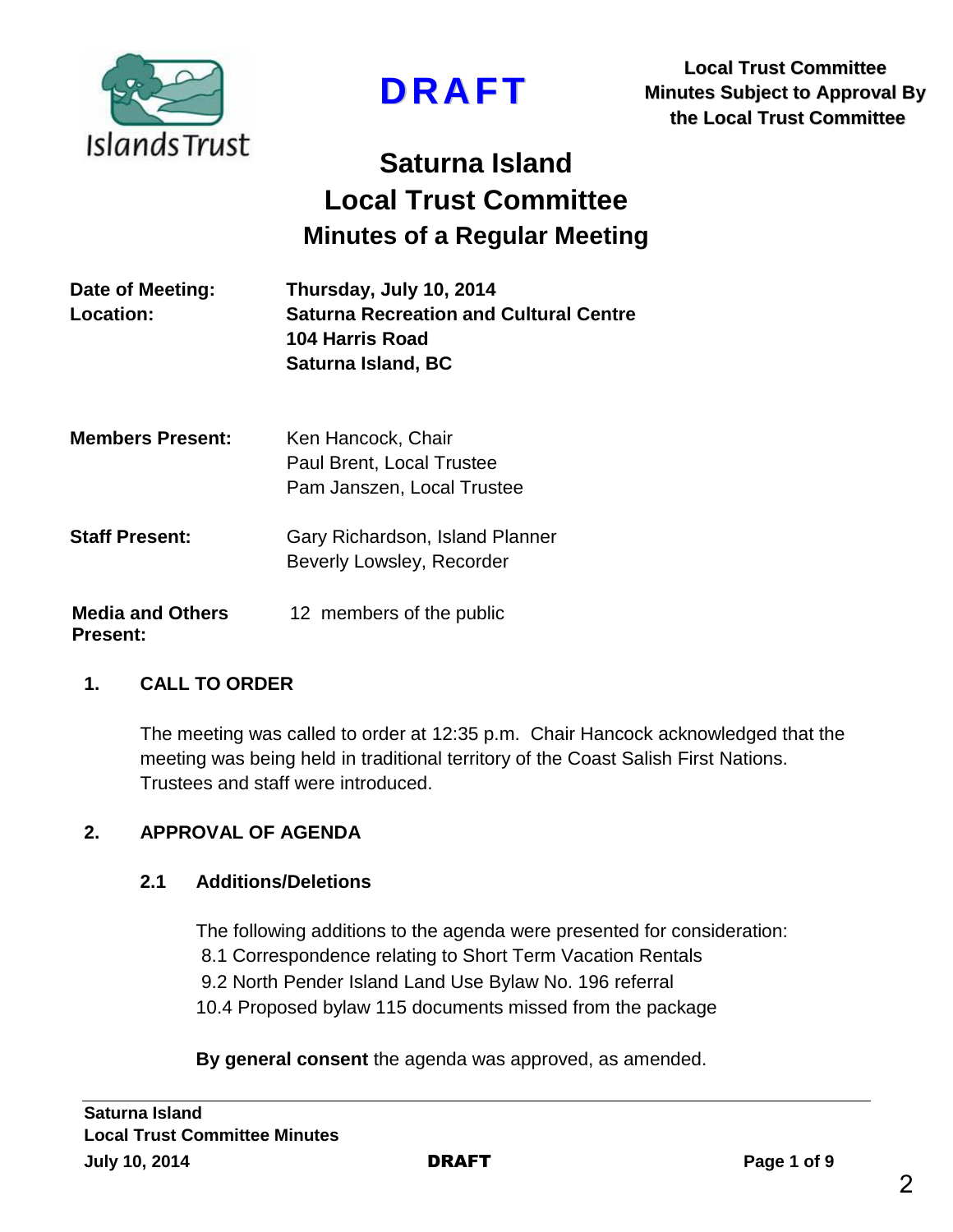

**DRAFT**

**Local Trust Committee Minutes Subject to Approval By the Local Trust Committee**

# **Saturna Island Local Trust Committee Minutes of a Regular Meeting**

| Date of Meeting: | Thursday, July 10, 2014                       |
|------------------|-----------------------------------------------|
| Location:        | <b>Saturna Recreation and Cultural Centre</b> |
|                  | 104 Harris Road                               |
|                  | Saturna Island, BC                            |
|                  |                                               |

| <b>Members Present:</b> | Ken Hancock, Chair<br>Paul Brent, Local Trustee<br>Pam Janszen, Local Trustee |  |  |
|-------------------------|-------------------------------------------------------------------------------|--|--|
| <b>Staff Present:</b>   | Gary Richardson, Island Planner<br>Beverly Lowsley, Recorder                  |  |  |
| <b>Media and Others</b> | 12 members of the public                                                      |  |  |

#### **Present:**

#### **1. CALL TO ORDER**

The meeting was called to order at 12:35 p.m. Chair Hancock acknowledged that the meeting was being held in traditional territory of the Coast Salish First Nations. Trustees and staff were introduced.

#### **2. APPROVAL OF AGENDA**

#### **2.1 Additions/Deletions**

The following additions to the agenda were presented for consideration: 8.1 Correspondence relating to Short Term Vacation Rentals 9.2 North Pender Island Land Use Bylaw No. 196 referral 10.4 Proposed bylaw 115 documents missed from the package

**By general consent** the agenda was approved, as amended.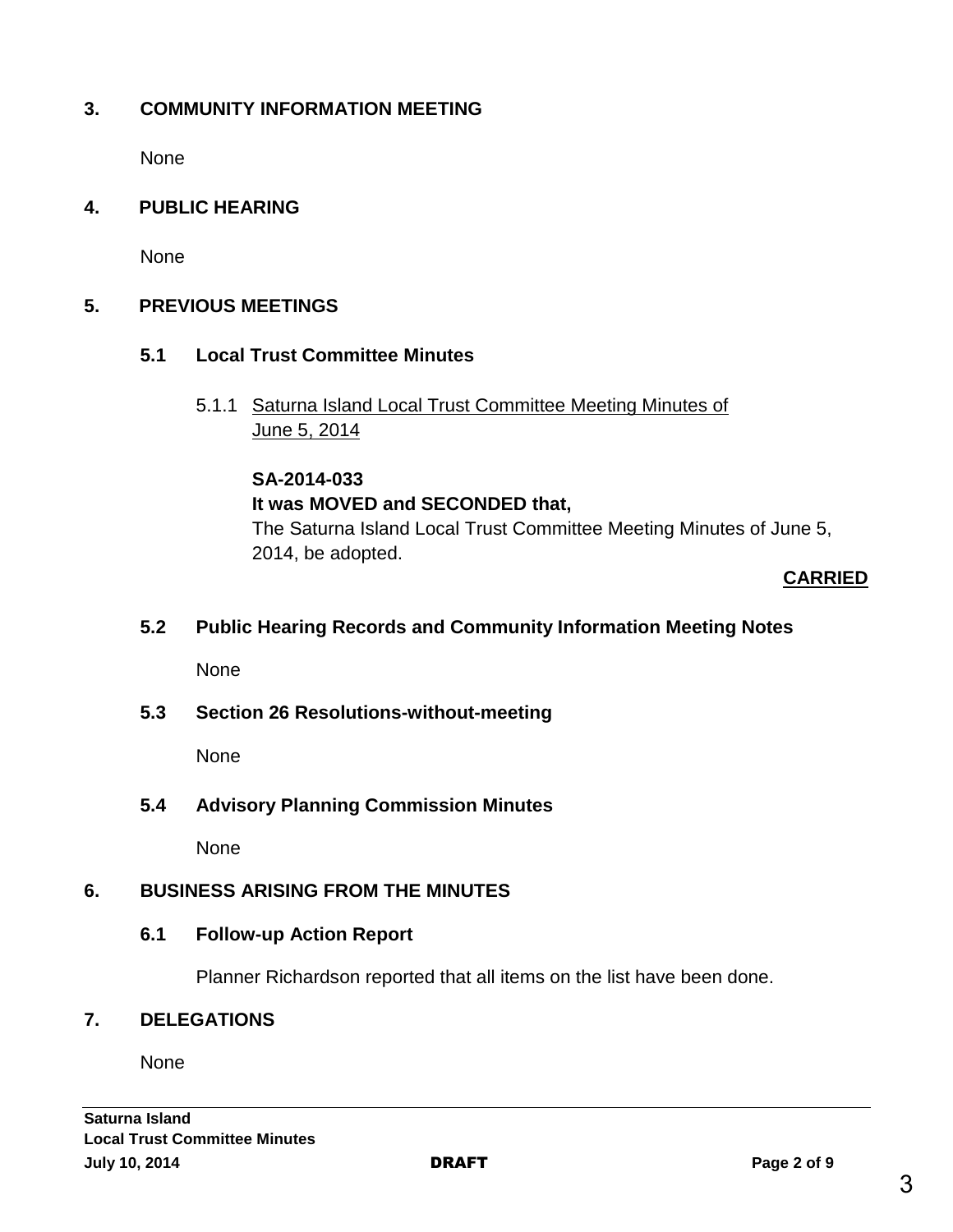# **3. COMMUNITY INFORMATION MEETING**

None

#### **4. PUBLIC HEARING**

None

#### **5. PREVIOUS MEETINGS**

- **5.1 Local Trust Committee Minutes**
	- 5.1.1 Saturna Island Local Trust Committee Meeting Minutes of June 5, 2014

#### **SA-2014-033**

#### **It was MOVED and SECONDED that,**

The Saturna Island Local Trust Committee Meeting Minutes of June 5, 2014, be adopted.

#### **CARRIED**

#### **5.2 Public Hearing Records and Community Information Meeting Notes**

None

#### **5.3 Section 26 Resolutions-without-meeting**

None

#### **5.4 Advisory Planning Commission Minutes**

None

#### **6. BUSINESS ARISING FROM THE MINUTES**

#### **6.1 Follow-up Action Report**

Planner Richardson reported that all items on the list have been done.

#### **7. DELEGATIONS**

None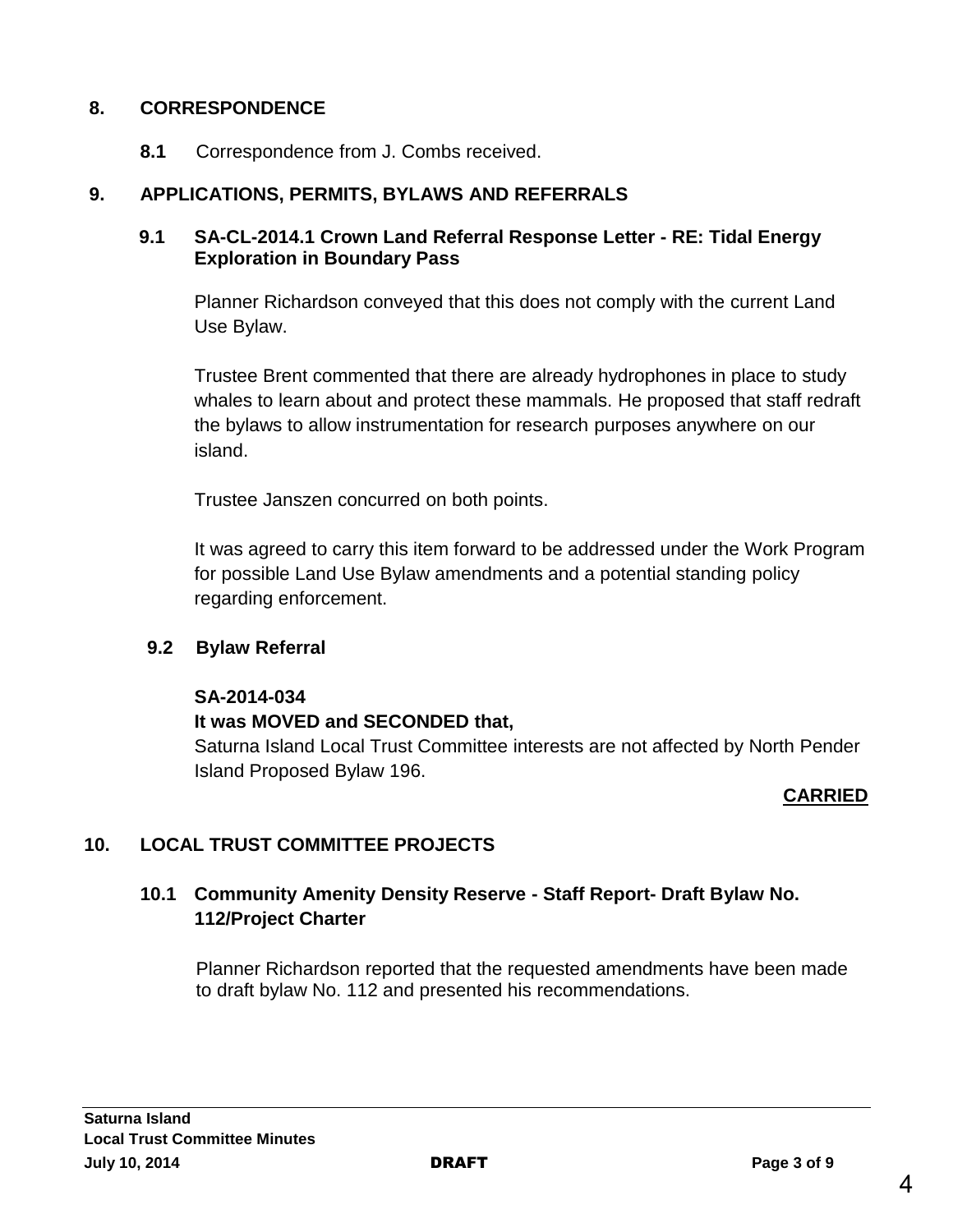#### **8. CORRESPONDENCE**

**8.1** Correspondence from J. Combs received.

#### **9. APPLICATIONS, PERMITS, BYLAWS AND REFERRALS**

#### **9.1 SA-CL-2014.1 Crown Land Referral Response Letter - RE: Tidal Energy Exploration in Boundary Pass**

Planner Richardson conveyed that this does not comply with the current Land Use Bylaw.

Trustee Brent commented that there are already hydrophones in place to study whales to learn about and protect these mammals. He proposed that staff redraft the bylaws to allow instrumentation for research purposes anywhere on our island.

Trustee Janszen concurred on both points.

It was agreed to carry this item forward to be addressed under the Work Program for possible Land Use Bylaw amendments and a potential standing policy regarding enforcement.

#### **9.2 Bylaw Referral**

#### **SA-2014-034**

#### **It was MOVED and SECONDED that,**

Saturna Island Local Trust Committee interests are not affected by North Pender Island Proposed Bylaw 196.

#### **CARRIED**

# **10. LOCAL TRUST COMMITTEE PROJECTS**

# **10.1 Community Amenity Density Reserve - Staff Report- Draft Bylaw No. 112/Project Charter**

Planner Richardson reported that the requested amendments have been made to draft bylaw No. 112 and presented his recommendations.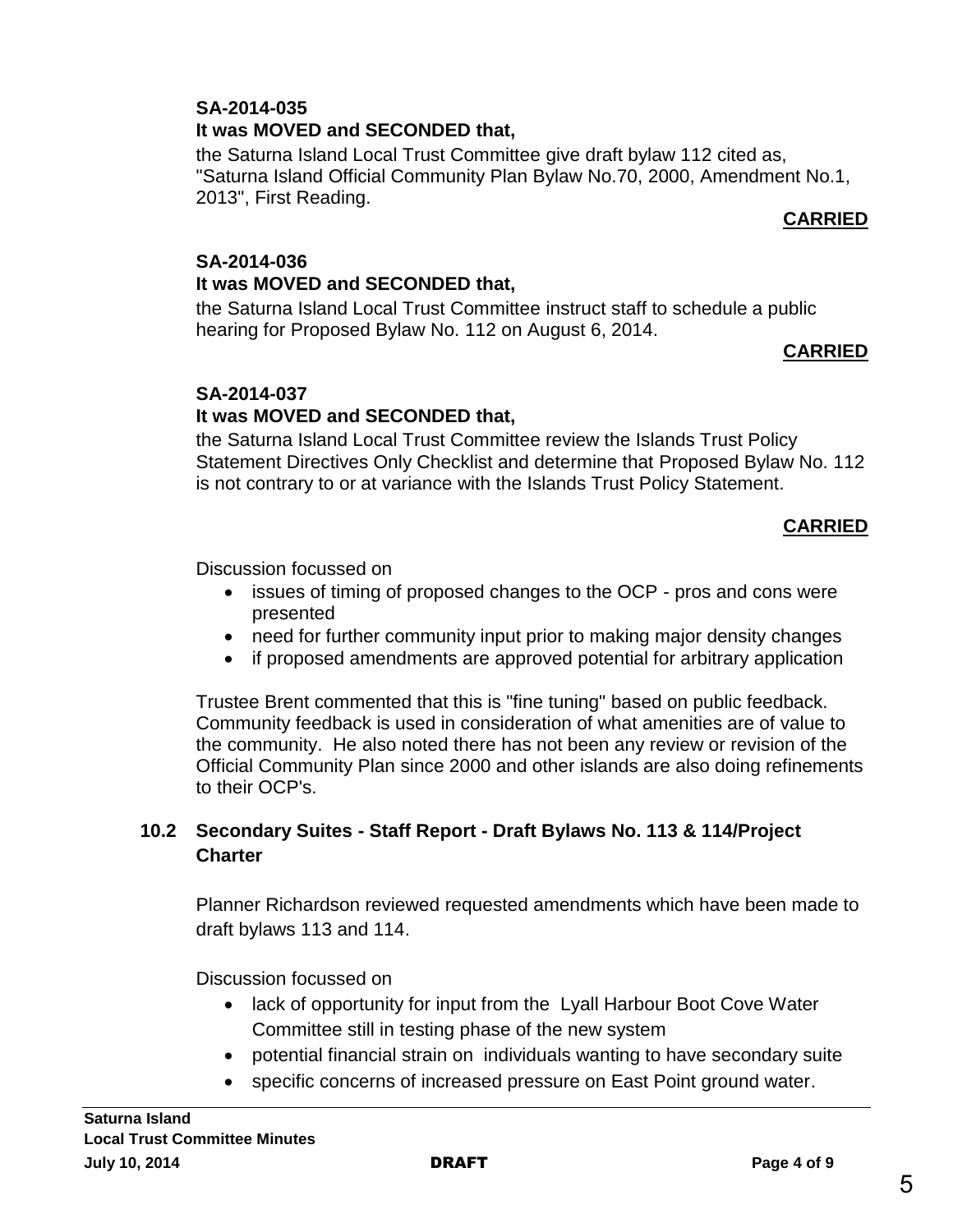#### **SA-2014-035 It was MOVED and SECONDED that,**

the Saturna Island Local Trust Committee give draft bylaw 112 cited as, "Saturna Island Official Community Plan Bylaw No.70, 2000, Amendment No.1, 2013", First Reading.

# **CARRIED**

#### **SA-2014-036 It was MOVED and SECONDED that,**

the Saturna Island Local Trust Committee instruct staff to schedule a public hearing for Proposed Bylaw No. 112 on August 6, 2014.

#### **CARRIED**

# **SA-2014-037**

# **It was MOVED and SECONDED that,**

the Saturna Island Local Trust Committee review the Islands Trust Policy Statement Directives Only Checklist and determine that Proposed Bylaw No. 112 is not contrary to or at variance with the Islands Trust Policy Statement.

#### **CARRIED**

Discussion focussed on

- issues of timing of proposed changes to the OCP pros and cons were presented
- need for further community input prior to making major density changes
- if proposed amendments are approved potential for arbitrary application

Trustee Brent commented that this is "fine tuning" based on public feedback. Community feedback is used in consideration of what amenities are of value to the community. He also noted there has not been any review or revision of the Official Community Plan since 2000 and other islands are also doing refinements to their OCP's.

#### **10.2 Secondary Suites - Staff Report - Draft Bylaws No. 113 & 114/Project Charter**

Planner Richardson reviewed requested amendments which have been made to draft bylaws 113 and 114.

Discussion focussed on

- lack of opportunity for input from the Lyall Harbour Boot Cove Water Committee still in testing phase of the new system
- potential financial strain on individuals wanting to have secondary suite
- specific concerns of increased pressure on East Point ground water.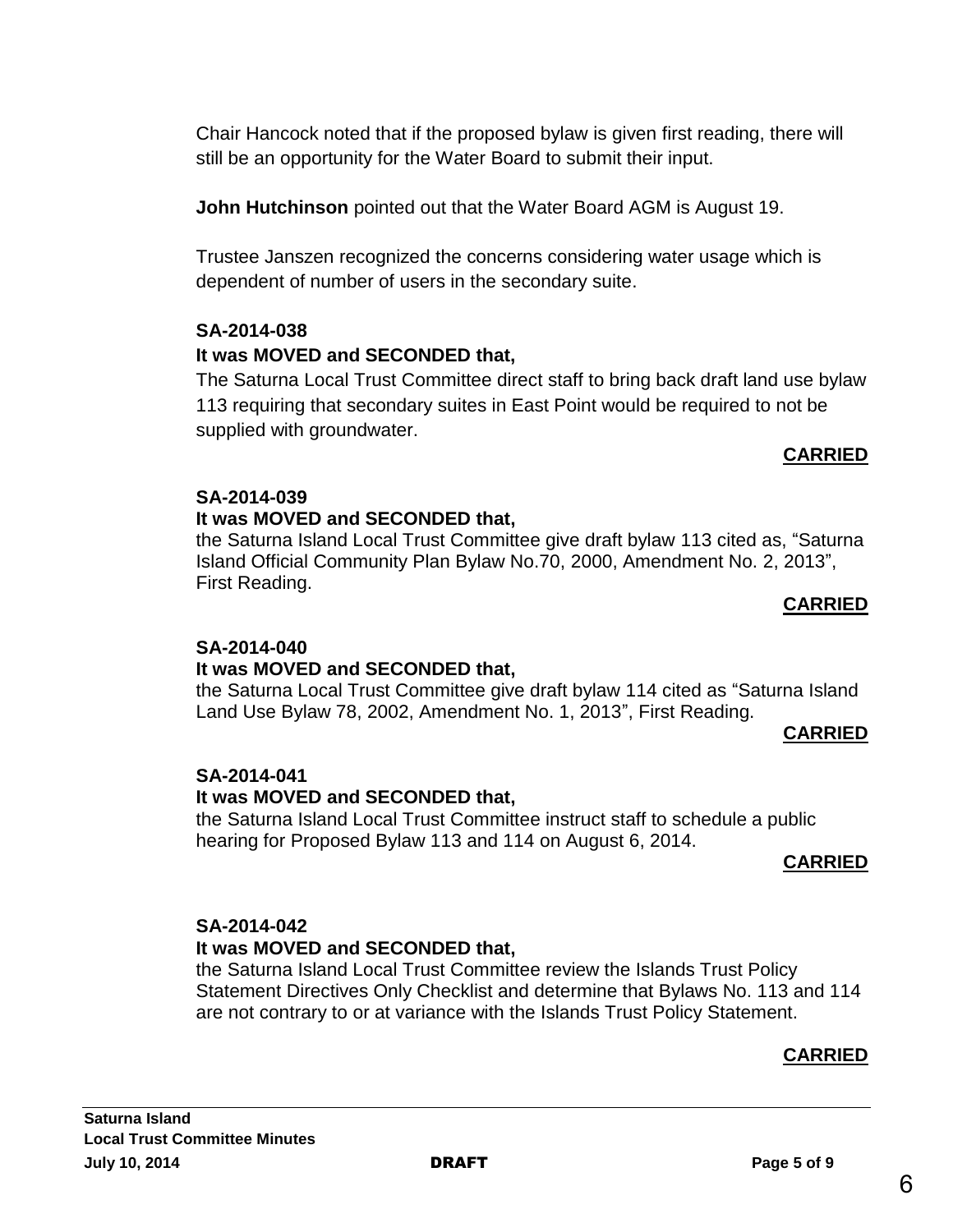**Saturna Island Local Trust Committee Minutes July 10, 2014** DRAFT **Page 5 of 9**

Chair Hancock noted that if the proposed bylaw is given first reading, there will still be an opportunity for the Water Board to submit their input.

**John Hutchinson** pointed out that the Water Board AGM is August 19.

Trustee Janszen recognized the concerns considering water usage which is dependent of number of users in the secondary suite.

# **SA-2014-038**

# **It was MOVED and SECONDED that,**

The Saturna Local Trust Committee direct staff to bring back draft land use bylaw 113 requiring that secondary suites in East Point would be required to not be supplied with groundwater.

# **CARRIED**

# **SA-2014-039**

#### **It was MOVED and SECONDED that,**

the Saturna Island Local Trust Committee give draft bylaw 113 cited as, "Saturna Island Official Community Plan Bylaw No.70, 2000, Amendment No. 2, 2013", First Reading.

#### **CARRIED**

#### **SA-2014-040**

#### **It was MOVED and SECONDED that,**

the Saturna Local Trust Committee give draft bylaw 114 cited as "Saturna Island Land Use Bylaw 78, 2002, Amendment No. 1, 2013", First Reading.

#### **CARRIED**

# **SA-2014-041**

#### **It was MOVED and SECONDED that,**

the Saturna Island Local Trust Committee instruct staff to schedule a public hearing for Proposed Bylaw 113 and 114 on August 6, 2014.

#### **CARRIED**

# **SA-2014-042**

# **It was MOVED and SECONDED that,**

the Saturna Island Local Trust Committee review the Islands Trust Policy Statement Directives Only Checklist and determine that Bylaws No. 113 and 114 are not contrary to or at variance with the Islands Trust Policy Statement.

# **CARRIED**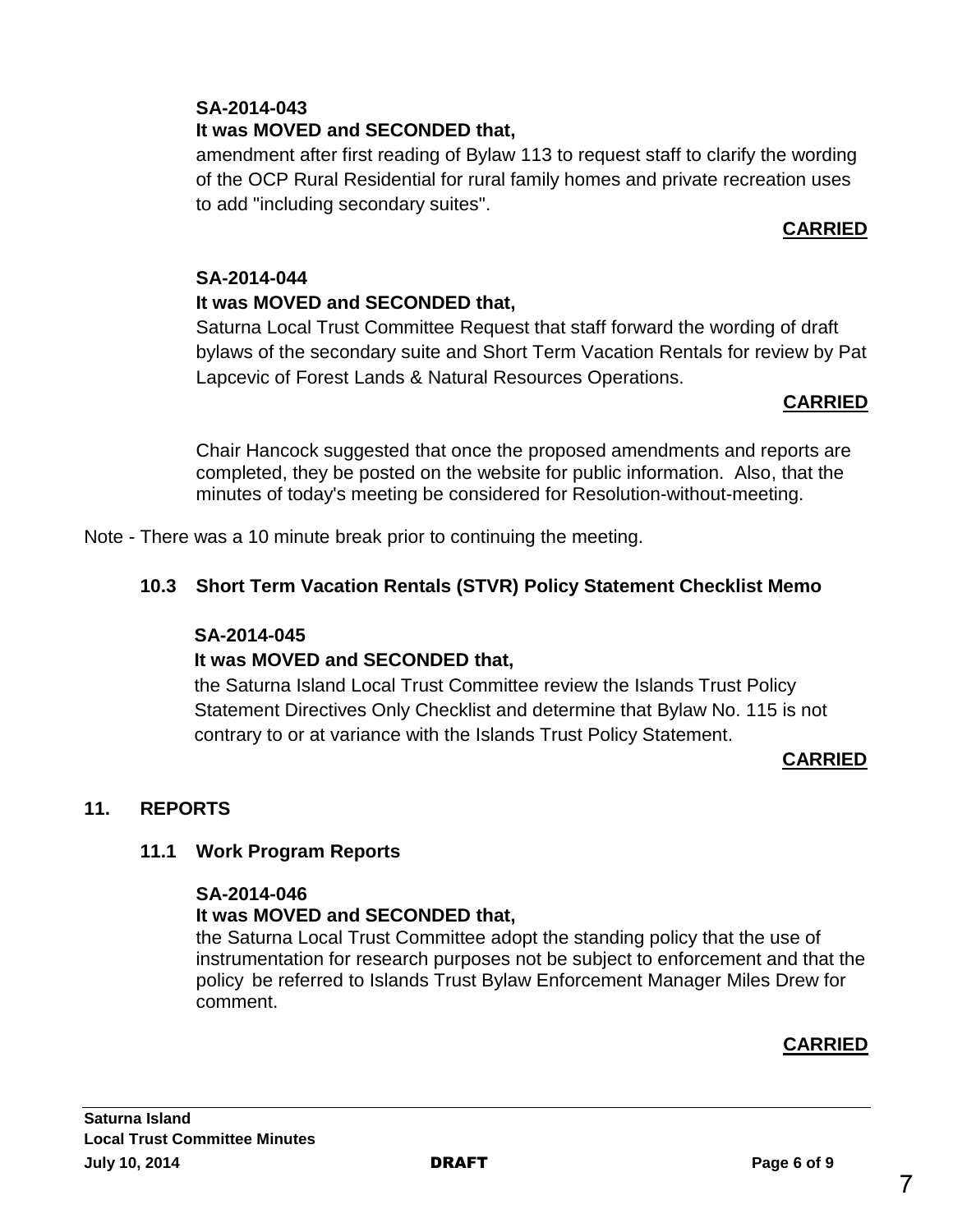#### **SA-2014-043 It was MOVED and SECONDED that,**

amendment after first reading of Bylaw 113 to request staff to clarify the wording of the OCP Rural Residential for rural family homes and private recreation uses to add "including secondary suites".

# **CARRIED**

#### **SA-2014-044**

# **It was MOVED and SECONDED that,**

Saturna Local Trust Committee Request that staff forward the wording of draft bylaws of the secondary suite and Short Term Vacation Rentals for review by Pat Lapcevic of Forest Lands & Natural Resources Operations.

#### **CARRIED**

Chair Hancock suggested that once the proposed amendments and reports are completed, they be posted on the website for public information. Also, that the minutes of today's meeting be considered for Resolution-without-meeting.

Note - There was a 10 minute break prior to continuing the meeting.

# **10.3 Short Term Vacation Rentals (STVR) Policy Statement Checklist Memo**

#### **SA-2014-045**

# **It was MOVED and SECONDED that,**

the Saturna Island Local Trust Committee review the Islands Trust Policy Statement Directives Only Checklist and determine that Bylaw No. 115 is not contrary to or at variance with the Islands Trust Policy Statement.

#### **CARRIED**

# **11. REPORTS**

#### **11.1 Work Program Reports**

#### **SA-2014-046**

# **It was MOVED and SECONDED that,**

the Saturna Local Trust Committee adopt the standing policy that the use of instrumentation for research purposes not be subject to enforcement and that the policy be referred to Islands Trust Bylaw Enforcement Manager Miles Drew for comment.

# **CARRIED**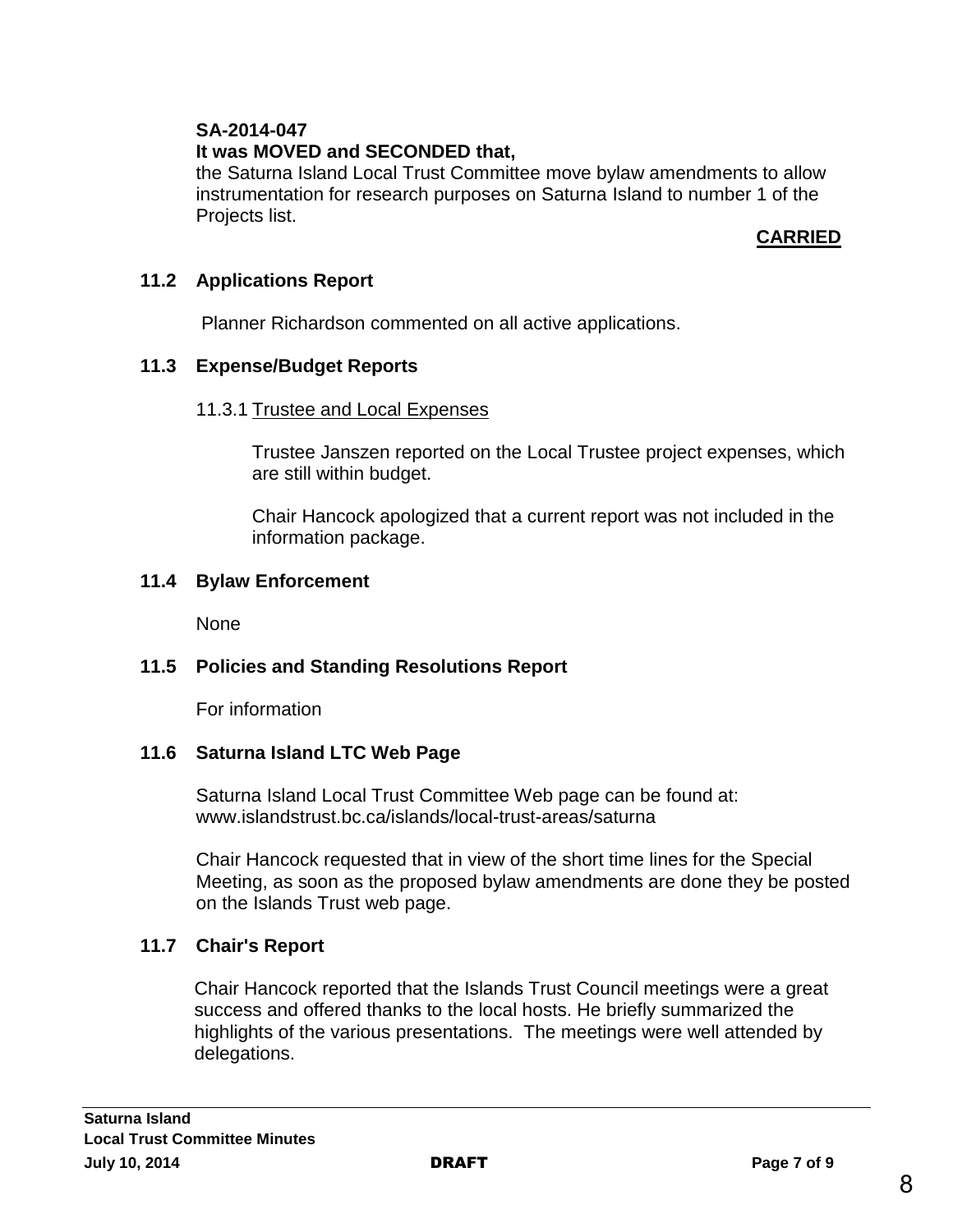# **SA-2014-047**

# **It was MOVED and SECONDED that,**

the Saturna Island Local Trust Committee move bylaw amendments to allow instrumentation for research purposes on Saturna Island to number 1 of the Projects list.

# **CARRIED**

#### **11.2 Applications Report**

Planner Richardson commented on all active applications.

#### **11.3 Expense/Budget Reports**

#### 11.3.1 Trustee and Local Expenses

Trustee Janszen reported on the Local Trustee project expenses, which are still within budget.

Chair Hancock apologized that a current report was not included in the information package.

#### **11.4 Bylaw Enforcement**

None

# **11.5 Policies and Standing Resolutions Report**

For information

# **11.6 Saturna Island LTC Web Page**

Saturna Island Local Trust Committee Web page can be found at: www.islandstrust.bc.ca/islands/local-trust-areas/saturna

Chair Hancock requested that in view of the short time lines for the Special Meeting, as soon as the proposed bylaw amendments are done they be posted on the Islands Trust web page.

# **11.7 Chair's Report**

Chair Hancock reported that the Islands Trust Council meetings were a great success and offered thanks to the local hosts. He briefly summarized the highlights of the various presentations. The meetings were well attended by delegations.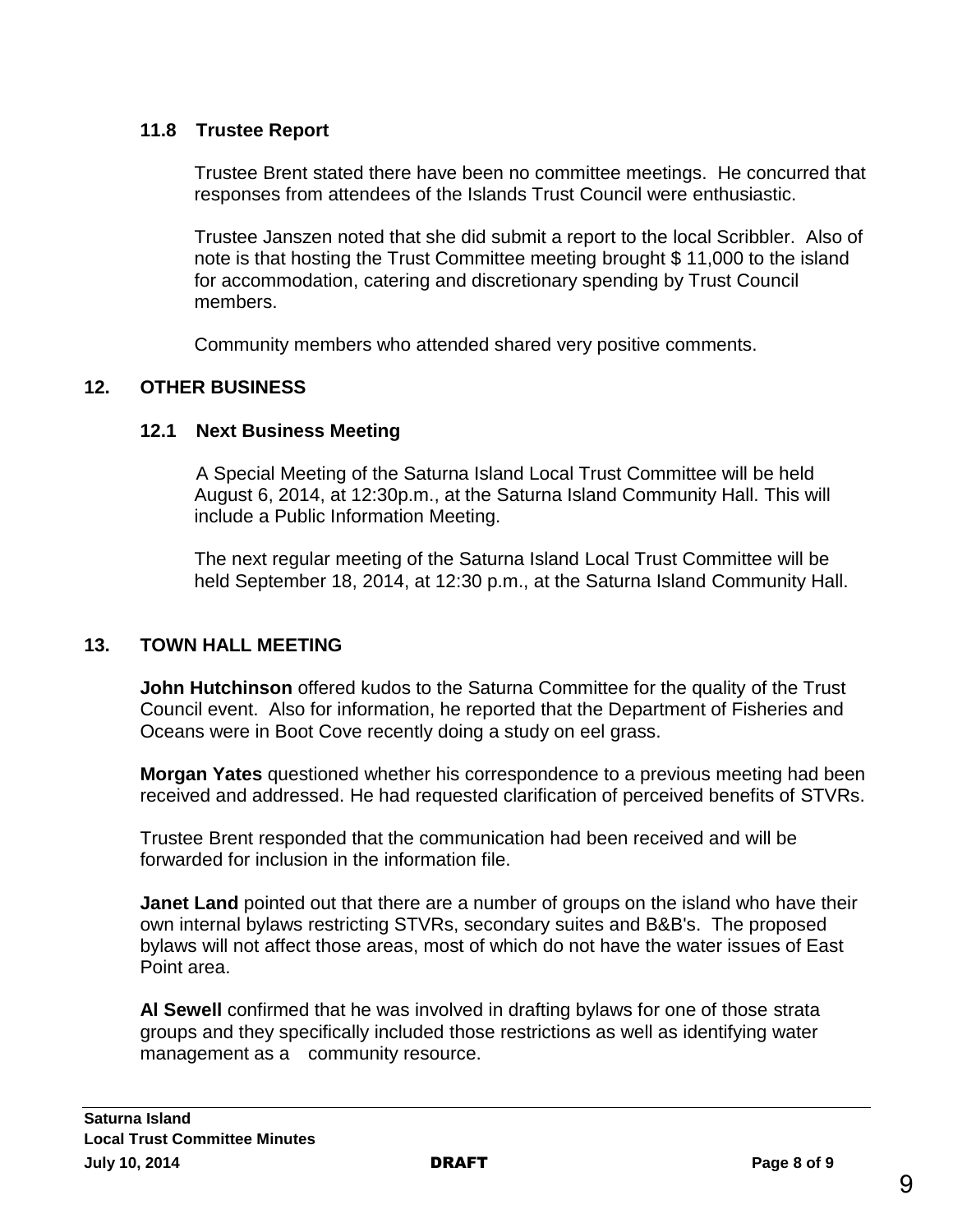#### **11.8 Trustee Report**

Trustee Brent stated there have been no committee meetings. He concurred that responses from attendees of the Islands Trust Council were enthusiastic.

Trustee Janszen noted that she did submit a report to the local Scribbler. Also of note is that hosting the Trust Committee meeting brought \$ 11,000 to the island for accommodation, catering and discretionary spending by Trust Council members.

Community members who attended shared very positive comments.

# **12. OTHER BUSINESS**

#### **12.1 Next Business Meeting**

A Special Meeting of the Saturna Island Local Trust Committee will be held August 6, 2014, at 12:30p.m., at the Saturna Island Community Hall. This will include a Public Information Meeting.

The next regular meeting of the Saturna Island Local Trust Committee will be held September 18, 2014, at 12:30 p.m., at the Saturna Island Community Hall.

# **13. TOWN HALL MEETING**

**John Hutchinson** offered kudos to the Saturna Committee for the quality of the Trust Council event. Also for information, he reported that the Department of Fisheries and Oceans were in Boot Cove recently doing a study on eel grass.

**Morgan Yates** questioned whether his correspondence to a previous meeting had been received and addressed. He had requested clarification of perceived benefits of STVRs.

Trustee Brent responded that the communication had been received and will be forwarded for inclusion in the information file.

**Janet Land** pointed out that there are a number of groups on the island who have their own internal bylaws restricting STVRs, secondary suites and B&B's. The proposed bylaws will not affect those areas, most of which do not have the water issues of East Point area.

**Al Sewell** confirmed that he was involved in drafting bylaws for one of those strata groups and they specifically included those restrictions as well as identifying water management as a community resource.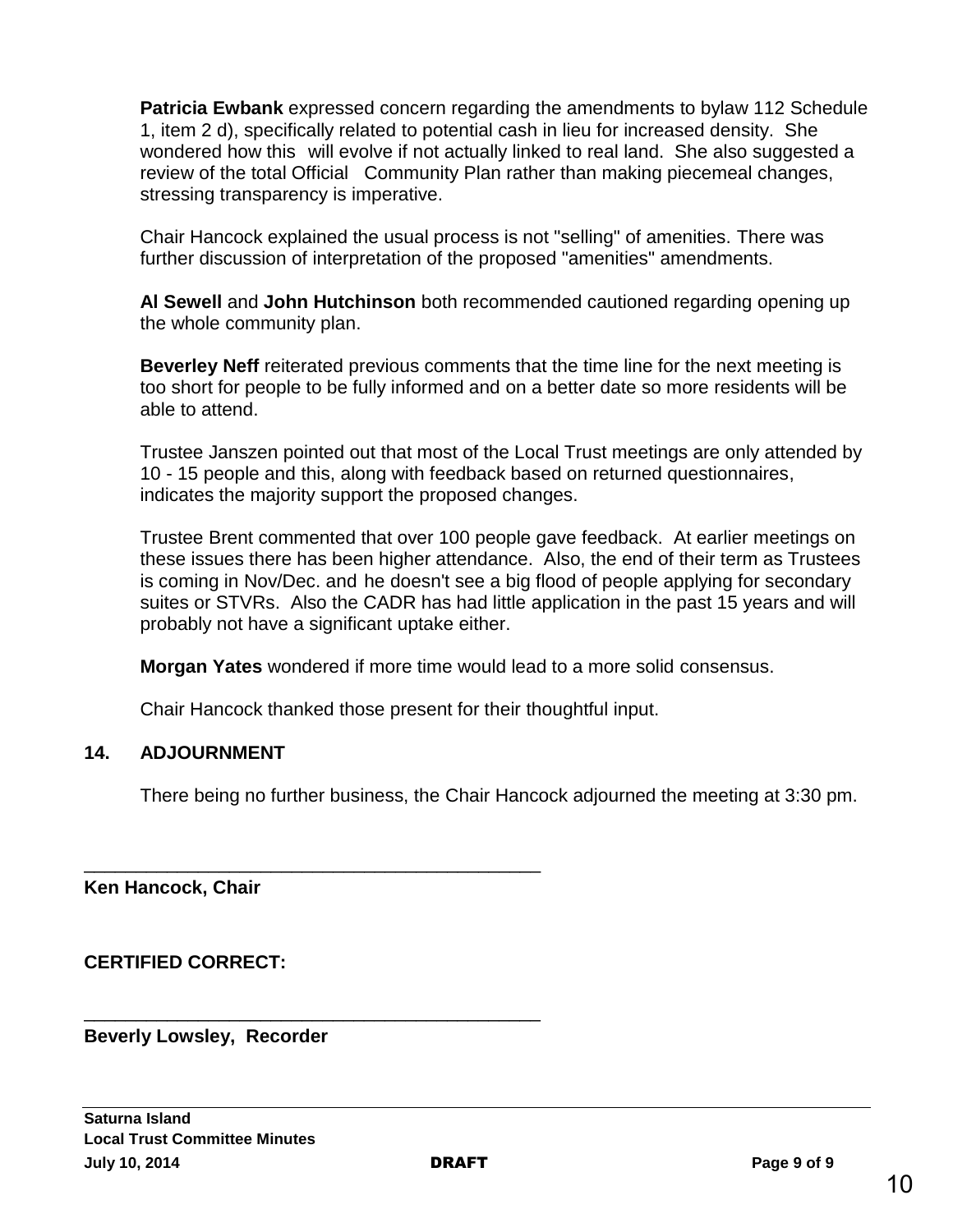**Patricia Ewbank** expressed concern regarding the amendments to bylaw 112 Schedule 1, item 2 d), specifically related to potential cash in lieu for increased density. She wondered how this will evolve if not actually linked to real land. She also suggested a review of the total Official Community Plan rather than making piecemeal changes, stressing transparency is imperative.

Chair Hancock explained the usual process is not "selling" of amenities. There was further discussion of interpretation of the proposed "amenities" amendments.

**Al Sewell** and **John Hutchinson** both recommended cautioned regarding opening up the whole community plan.

**Beverley Neff** reiterated previous comments that the time line for the next meeting is too short for people to be fully informed and on a better date so more residents will be able to attend.

Trustee Janszen pointed out that most of the Local Trust meetings are only attended by 10 - 15 people and this, along with feedback based on returned questionnaires, indicates the majority support the proposed changes.

Trustee Brent commented that over 100 people gave feedback. At earlier meetings on these issues there has been higher attendance. Also, the end of their term as Trustees is coming in Nov/Dec. and he doesn't see a big flood of people applying for secondary suites or STVRs. Also the CADR has had little application in the past 15 years and will probably not have a significant uptake either.

**Morgan Yates** wondered if more time would lead to a more solid consensus.

Chair Hancock thanked those present for their thoughtful input.

\_\_\_\_\_\_\_\_\_\_\_\_\_\_\_\_\_\_\_\_\_\_\_\_\_\_\_\_\_\_\_\_\_\_\_\_\_\_\_\_\_\_\_\_

\_\_\_\_\_\_\_\_\_\_\_\_\_\_\_\_\_\_\_\_\_\_\_\_\_\_\_\_\_\_\_\_\_\_\_\_\_\_\_\_\_\_\_\_

# **14. ADJOURNMENT**

There being no further business, the Chair Hancock adjourned the meeting at 3:30 pm.

**Ken Hancock, Chair**

**CERTIFIED CORRECT:**

**Beverly Lowsley, Recorder**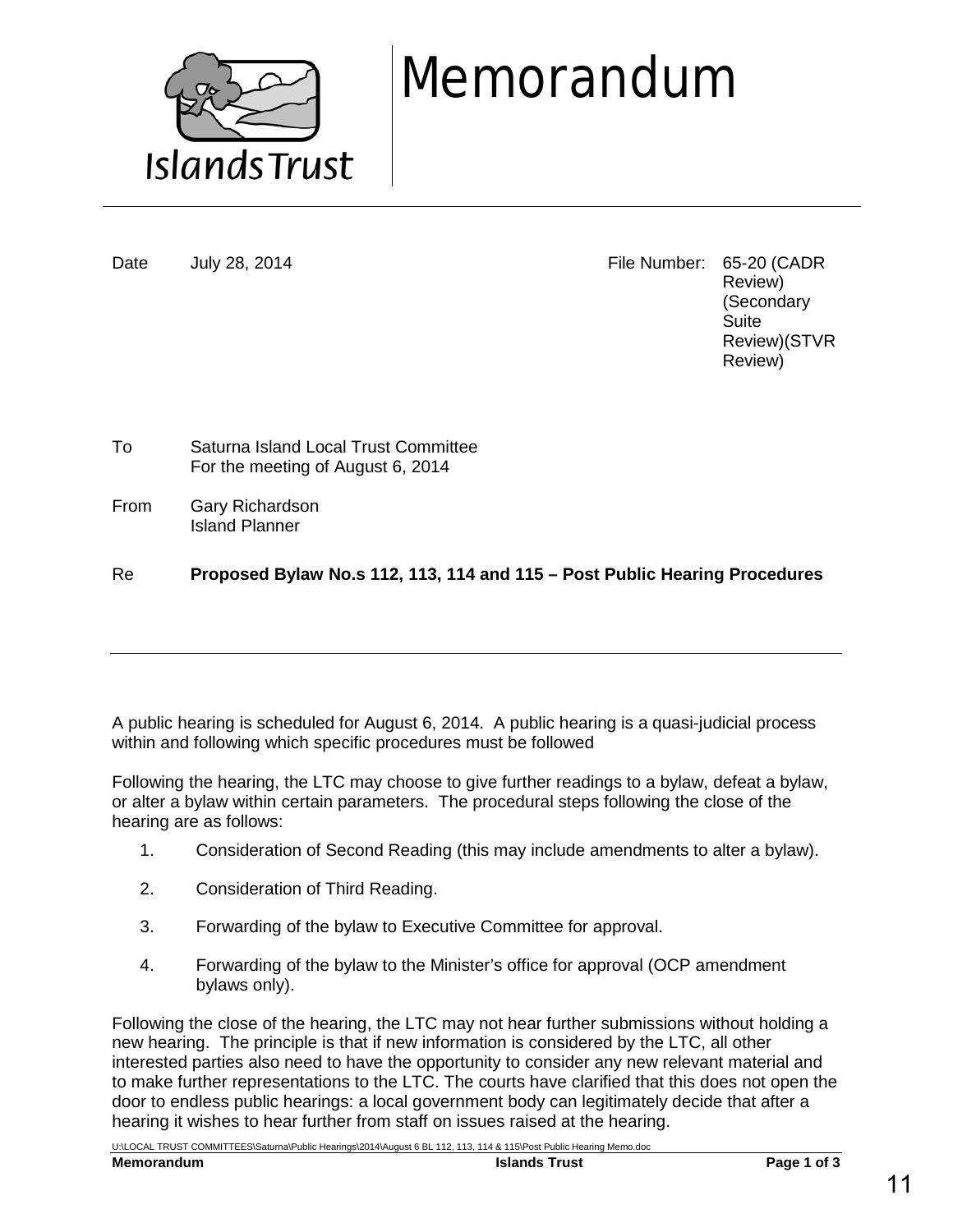

# Memorandum

Date July 28, 2014 **File Number: 65-20 (CADR** Review) (Secondary **Suite** Review)(STVR Review)

To Saturna Island Local Trust Committee For the meeting of August 6, 2014

From Gary Richardson Island Planner

Re **Proposed Bylaw No.s 112, 113, 114 and 115 – Post Public Hearing Procedures**

A public hearing is scheduled for August 6, 2014. A public hearing is a quasi-judicial process within and following which specific procedures must be followed

Following the hearing, the LTC may choose to give further readings to a bylaw, defeat a bylaw, or alter a bylaw within certain parameters. The procedural steps following the close of the hearing are as follows:

- 1. Consideration of Second Reading (this may include amendments to alter a bylaw).
- 2. Consideration of Third Reading.
- 3. Forwarding of the bylaw to Executive Committee for approval.
- 4. Forwarding of the bylaw to the Minister's office for approval (OCP amendment bylaws only).

Following the close of the hearing, the LTC may not hear further submissions without holding a new hearing. The principle is that if new information is considered by the LTC, all other interested parties also need to have the opportunity to consider any new relevant material and to make further representations to the LTC. The courts have clarified that this does not open the door to endless public hearings: a local government body can legitimately decide that after a hearing it wishes to hear further from staff on issues raised at the hearing.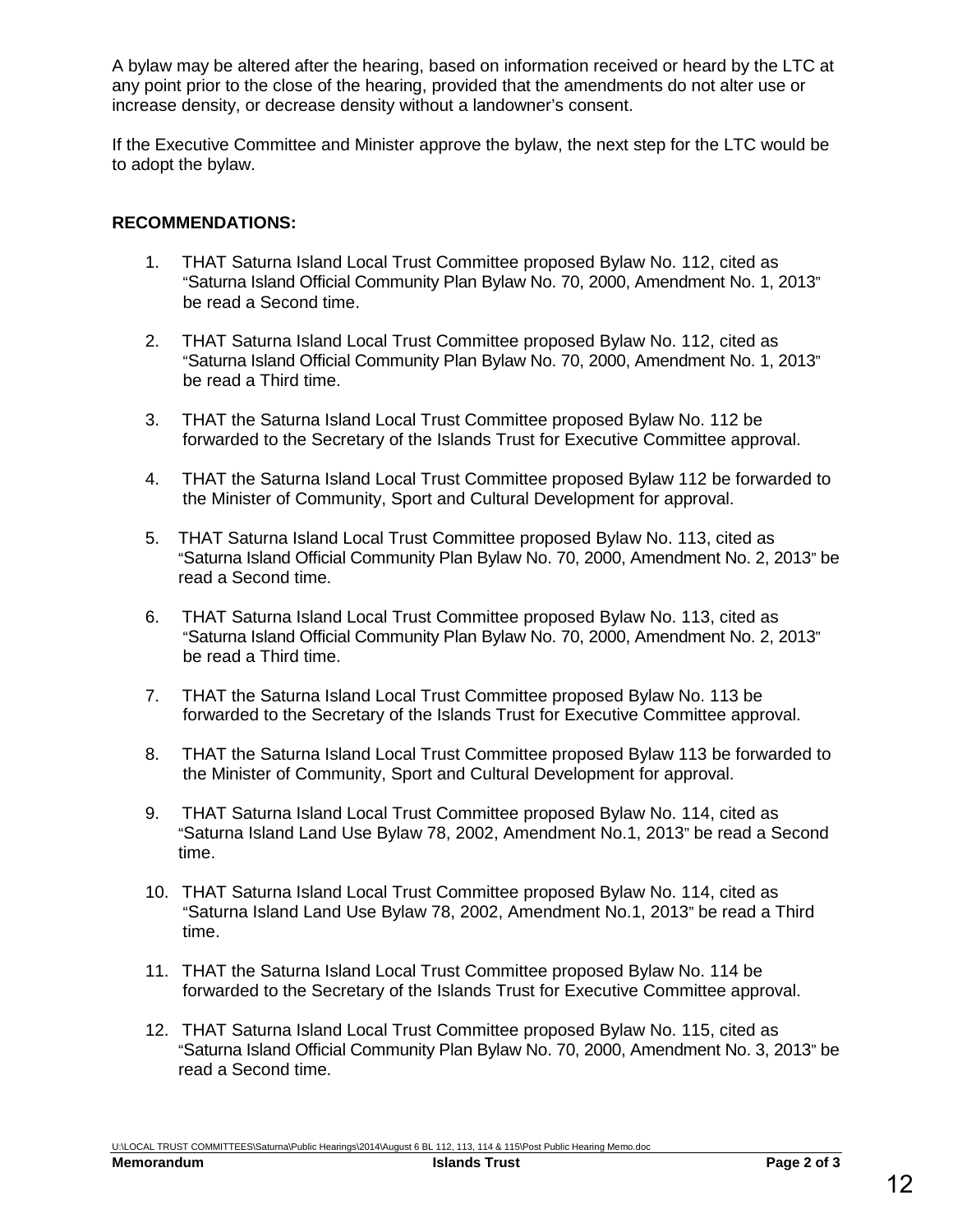A bylaw may be altered after the hearing, based on information received or heard by the LTC at any point prior to the close of the hearing, provided that the amendments do not alter use or increase density, or decrease density without a landowner's consent.

If the Executive Committee and Minister approve the bylaw, the next step for the LTC would be to adopt the bylaw.

#### **RECOMMENDATIONS:**

- 1. THAT Saturna Island Local Trust Committee proposed Bylaw No. 112, cited as "Saturna Island Official Community Plan Bylaw No. 70, 2000, Amendment No. 1, 2013" be read a Second time.
- 2. THAT Saturna Island Local Trust Committee proposed Bylaw No. 112, cited as "Saturna Island Official Community Plan Bylaw No. 70, 2000, Amendment No. 1, 2013" be read a Third time.
- 3. THAT the Saturna Island Local Trust Committee proposed Bylaw No. 112 be forwarded to the Secretary of the Islands Trust for Executive Committee approval.
- 4. THAT the Saturna Island Local Trust Committee proposed Bylaw 112 be forwarded to the Minister of Community, Sport and Cultural Development for approval.
- 5. THAT Saturna Island Local Trust Committee proposed Bylaw No. 113, cited as "Saturna Island Official Community Plan Bylaw No. 70, 2000, Amendment No. 2, 2013" be read a Second time.
- 6. THAT Saturna Island Local Trust Committee proposed Bylaw No. 113, cited as "Saturna Island Official Community Plan Bylaw No. 70, 2000, Amendment No. 2, 2013" be read a Third time.
- 7. THAT the Saturna Island Local Trust Committee proposed Bylaw No. 113 be forwarded to the Secretary of the Islands Trust for Executive Committee approval.
- 8. THAT the Saturna Island Local Trust Committee proposed Bylaw 113 be forwarded to the Minister of Community, Sport and Cultural Development for approval.
- 9. THAT Saturna Island Local Trust Committee proposed Bylaw No. 114, cited as "Saturna Island Land Use Bylaw 78, 2002, Amendment No.1, 2013" be read a Second time.
- 10. THAT Saturna Island Local Trust Committee proposed Bylaw No. 114, cited as "Saturna Island Land Use Bylaw 78, 2002, Amendment No.1, 2013" be read a Third time.
- 11. THAT the Saturna Island Local Trust Committee proposed Bylaw No. 114 be forwarded to the Secretary of the Islands Trust for Executive Committee approval.
- 12. THAT Saturna Island Local Trust Committee proposed Bylaw No. 115, cited as "Saturna Island Official Community Plan Bylaw No. 70, 2000, Amendment No. 3, 2013" be read a Second time.

U:\LOCAL TRUST COMMITTEES\Saturna\Public Hearings\2014\August 6 BL 112, 113, 114 & 115\Post Public Hearing Memo.doc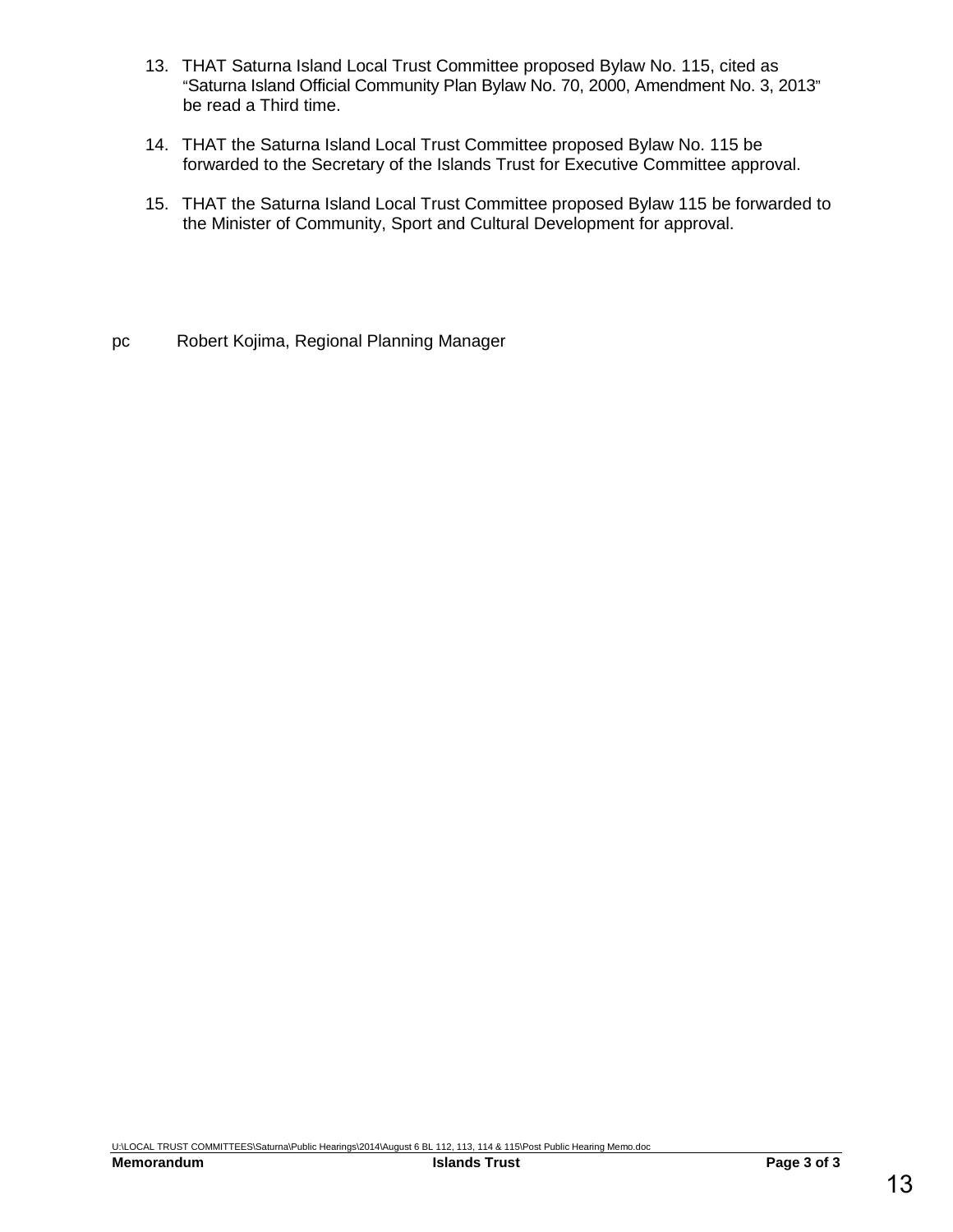- 13. THAT Saturna Island Local Trust Committee proposed Bylaw No. 115, cited as "Saturna Island Official Community Plan Bylaw No. 70, 2000, Amendment No. 3, 2013" be read a Third time.
- 14. THAT the Saturna Island Local Trust Committee proposed Bylaw No. 115 be forwarded to the Secretary of the Islands Trust for Executive Committee approval.
- 15. THAT the Saturna Island Local Trust Committee proposed Bylaw 115 be forwarded to the Minister of Community, Sport and Cultural Development for approval.
- pc Robert Kojima, Regional Planning Manager

U:\LOCAL TRUST COMMITTEES\Saturna\Public Hearings\2014\August 6 BL 112, 113, 114 & 115\Post Public Hearing Memo.doc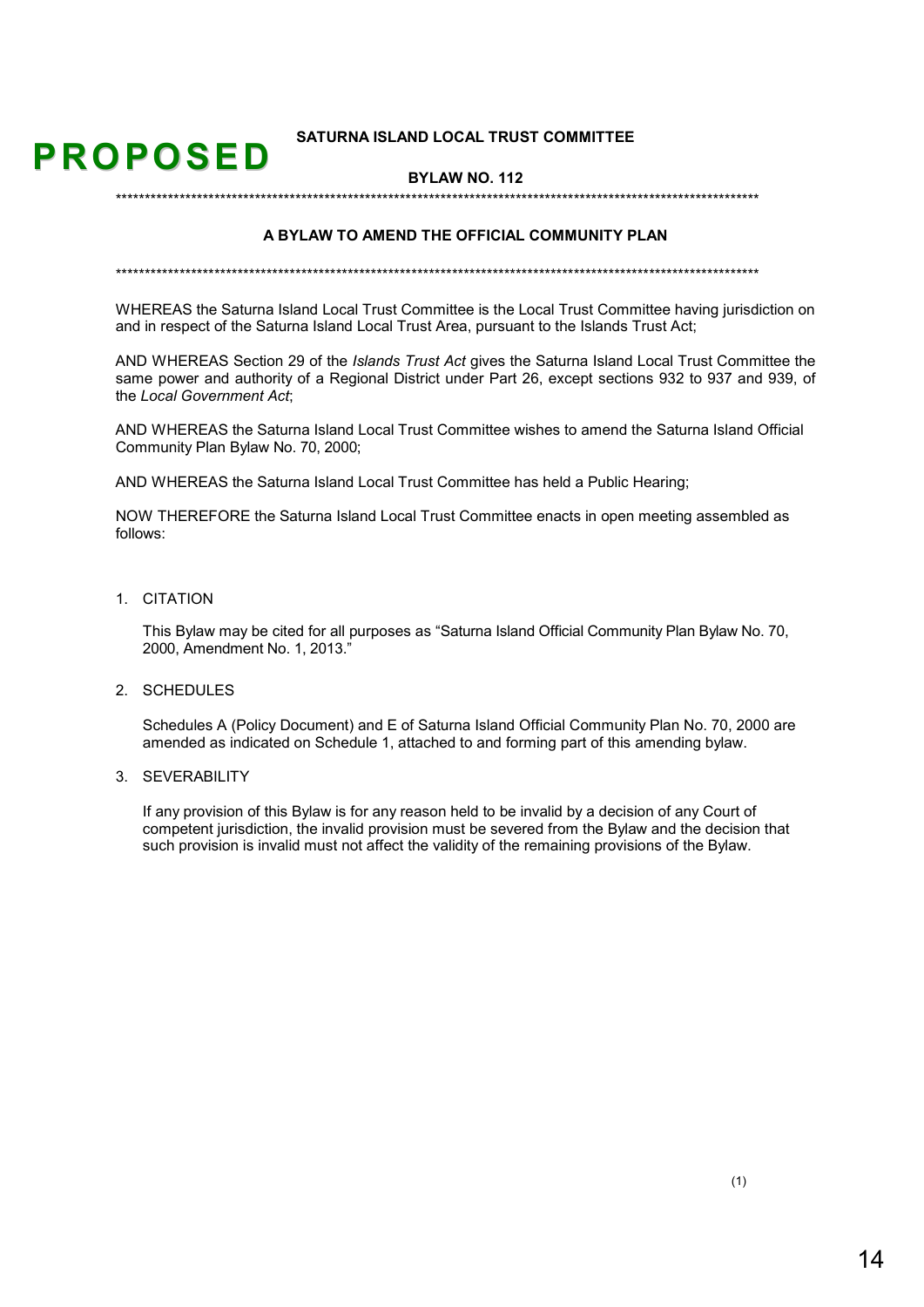#### **SATURNA ISLAND LOCAL TRUST COMMITTEE**

#### **BYLAW NO. 112**

#### A BYLAW TO AMEND THE OFFICIAL COMMUNITY PLAN

WHEREAS the Saturna Island Local Trust Committee is the Local Trust Committee having jurisdiction on and in respect of the Saturna Island Local Trust Area, pursuant to the Islands Trust Act;

AND WHEREAS Section 29 of the *Islands Trust Act* gives the Saturna Island Local Trust Committee the same power and authority of a Regional District under Part 26, except sections 932 to 937 and 939, of the Local Government Act.

AND WHEREAS the Saturna Island Local Trust Committee wishes to amend the Saturna Island Official Community Plan Bylaw No. 70, 2000;

AND WHEREAS the Saturna Island Local Trust Committee has held a Public Hearing;

NOW THEREFORE the Saturna Island Local Trust Committee enacts in open meeting assembled as follows:

1. CITATION

**PROPOSED** 

This Bylaw may be cited for all purposes as "Saturna Island Official Community Plan Bylaw No. 70, 2000, Amendment No. 1, 2013."

2. SCHEDULES

Schedules A (Policy Document) and E of Saturna Island Official Community Plan No. 70, 2000 are amended as indicated on Schedule 1, attached to and forming part of this amending bylaw.

3 SEVERABILITY

If any provision of this Bylaw is for any reason held to be invalid by a decision of any Court of competent jurisdiction, the invalid provision must be severed from the Bylaw and the decision that such provision is invalid must not affect the validity of the remaining provisions of the Bylaw.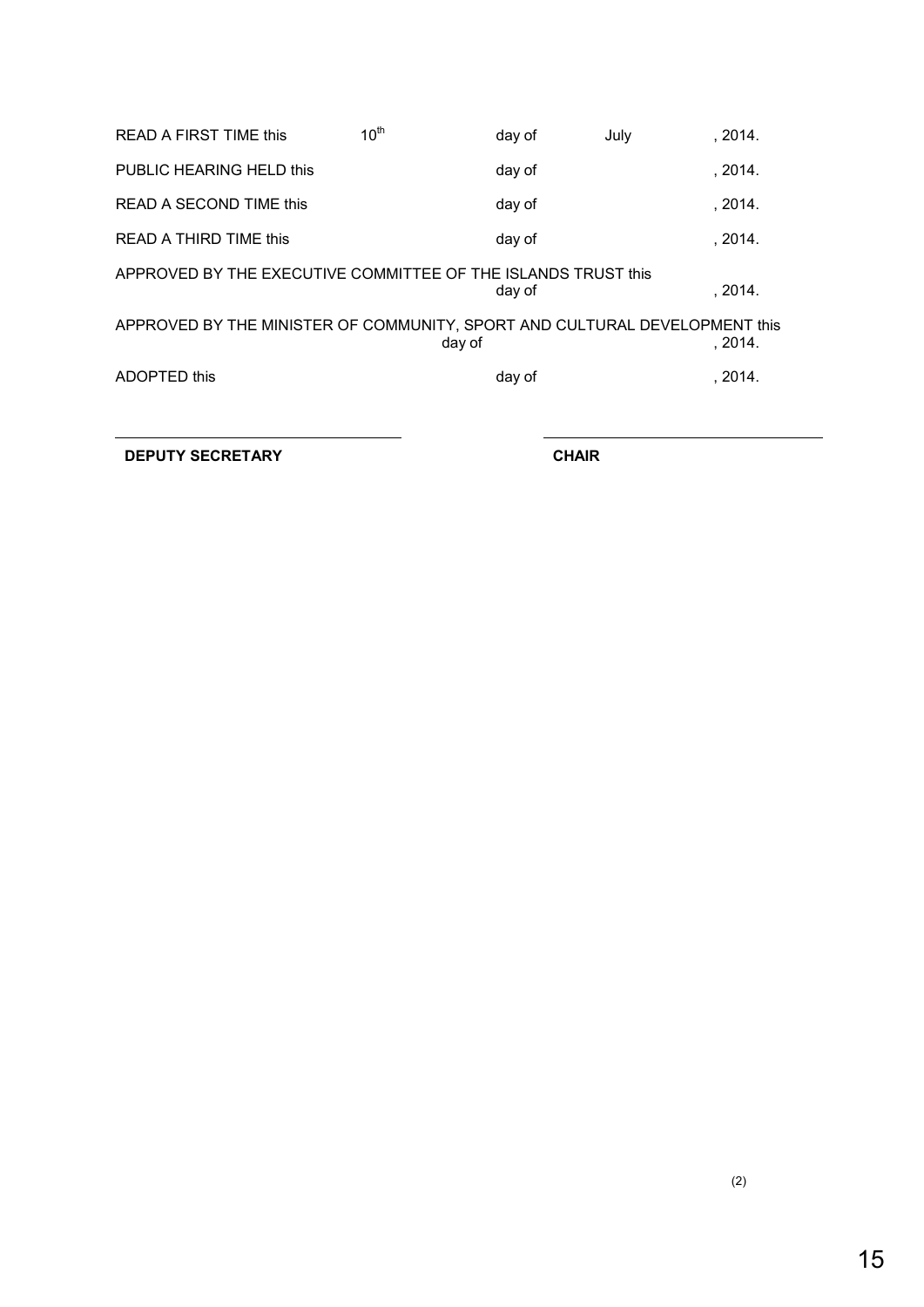| <b>READ A FIRST TIME this</b>                                              | 10 <sup>th</sup> | day of | July | , 2014. |
|----------------------------------------------------------------------------|------------------|--------|------|---------|
| PUBLIC HEARING HELD this                                                   |                  | day of |      | , 2014. |
| READ A SECOND TIME this                                                    |                  | day of |      | .2014.  |
| READ A THIRD TIME this                                                     |                  | day of |      | .2014.  |
| APPROVED BY THE EXECUTIVE COMMITTEE OF THE ISLANDS TRUST this              |                  | day of |      | .2014.  |
| APPROVED BY THE MINISTER OF COMMUNITY, SPORT AND CULTURAL DEVELOPMENT this | day of           |        |      | .2014.  |
| ADOPTED this                                                               |                  | day of |      | .2014.  |
|                                                                            |                  |        |      |         |

**DEPUTY SECRETARY CHAIR**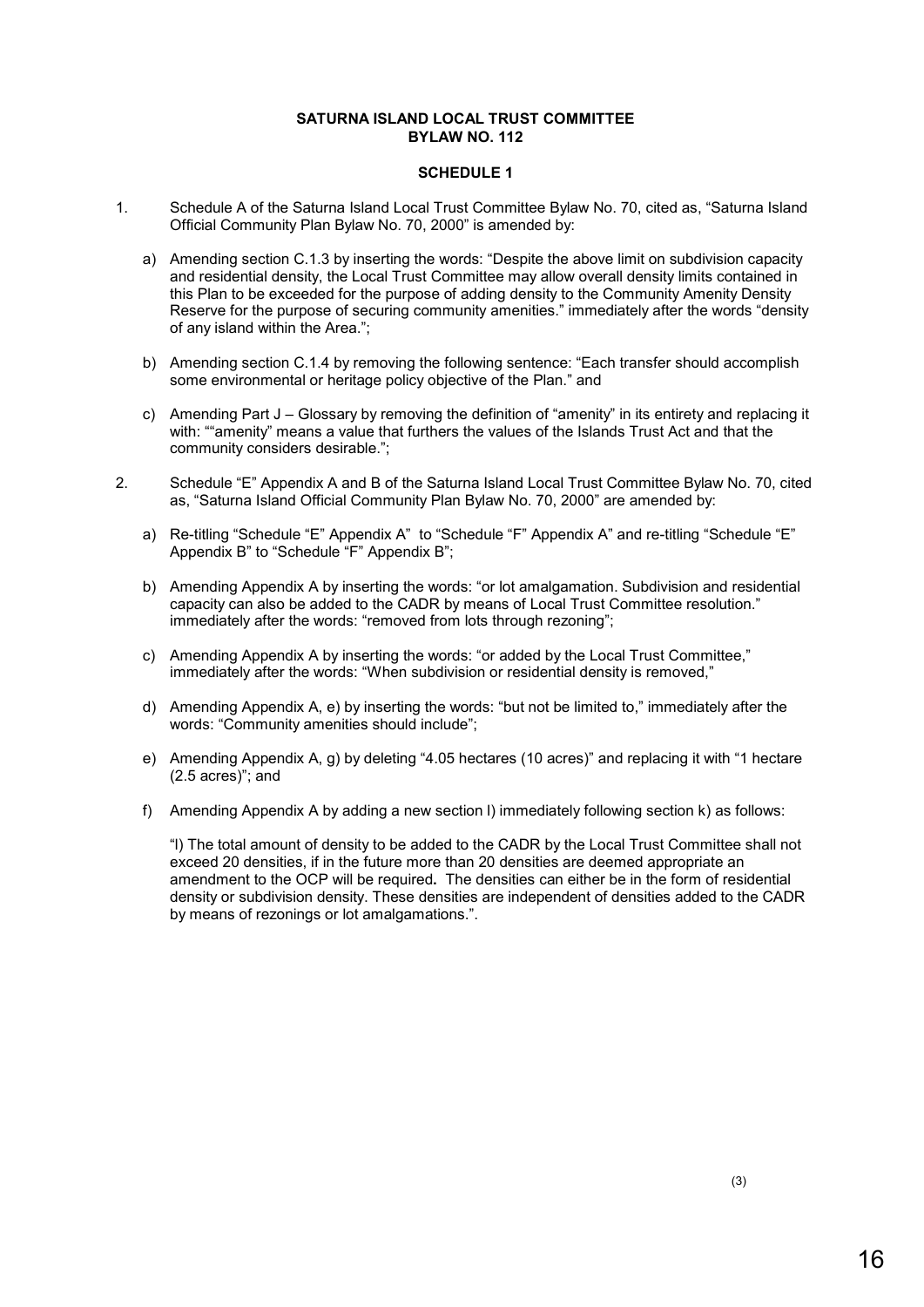#### **SATURNA ISLAND LOCAL TRUST COMMITTEE BYLAW NO. 112**

#### **SCHEDULE 1**

- 1. Schedule A of the Saturna Island Local Trust Committee Bylaw No. 70, cited as, "Saturna Island Official Community Plan Bylaw No. 70, 2000" is amended by:
	- a) Amending section C.1.3 by inserting the words: "Despite the above limit on subdivision capacity and residential density, the Local Trust Committee may allow overall density limits contained in this Plan to be exceeded for the purpose of adding density to the Community Amenity Density Reserve for the purpose of securing community amenities." immediately after the words "density of any island within the Area.";
	- b) Amending section C.1.4 by removing the following sentence: "Each transfer should accomplish some environmental or heritage policy objective of the Plan." and
	- c) Amending Part J Glossary by removing the definition of "amenity" in its entirety and replacing it with: ""amenity" means a value that furthers the values of the Islands Trust Act and that the community considers desirable.";
- 2. Schedule "E" Appendix A and B of the Saturna Island Local Trust Committee Bylaw No. 70, cited as, "Saturna Island Official Community Plan Bylaw No. 70, 2000" are amended by:
	- a) Re-titling "Schedule "E" Appendix A" to "Schedule "F" Appendix A" and re-titling "Schedule "E" Appendix B" to "Schedule "F" Appendix B";
	- b) Amending Appendix A by inserting the words: "or lot amalgamation. Subdivision and residential capacity can also be added to the CADR by means of Local Trust Committee resolution." immediately after the words: "removed from lots through rezoning";
	- c) Amending Appendix A by inserting the words: "or added by the Local Trust Committee," immediately after the words: "When subdivision or residential density is removed,"
	- d) Amending Appendix A, e) by inserting the words: "but not be limited to," immediately after the words: "Community amenities should include";
	- e) Amending Appendix A, g) by deleting "4.05 hectares (10 acres)" and replacing it with "1 hectare  $(2.5 \text{ acres})$ ; and
	- f) Amending Appendix A by adding a new section l) immediately following section k) as follows:

"l) The total amount of density to be added to the CADR by the Local Trust Committee shall not exceed 20 densities, if in the future more than 20 densities are deemed appropriate an amendment to the OCP will be required**.** The densities can either be in the form of residential density or subdivision density. These densities are independent of densities added to the CADR by means of rezonings or lot amalgamations.".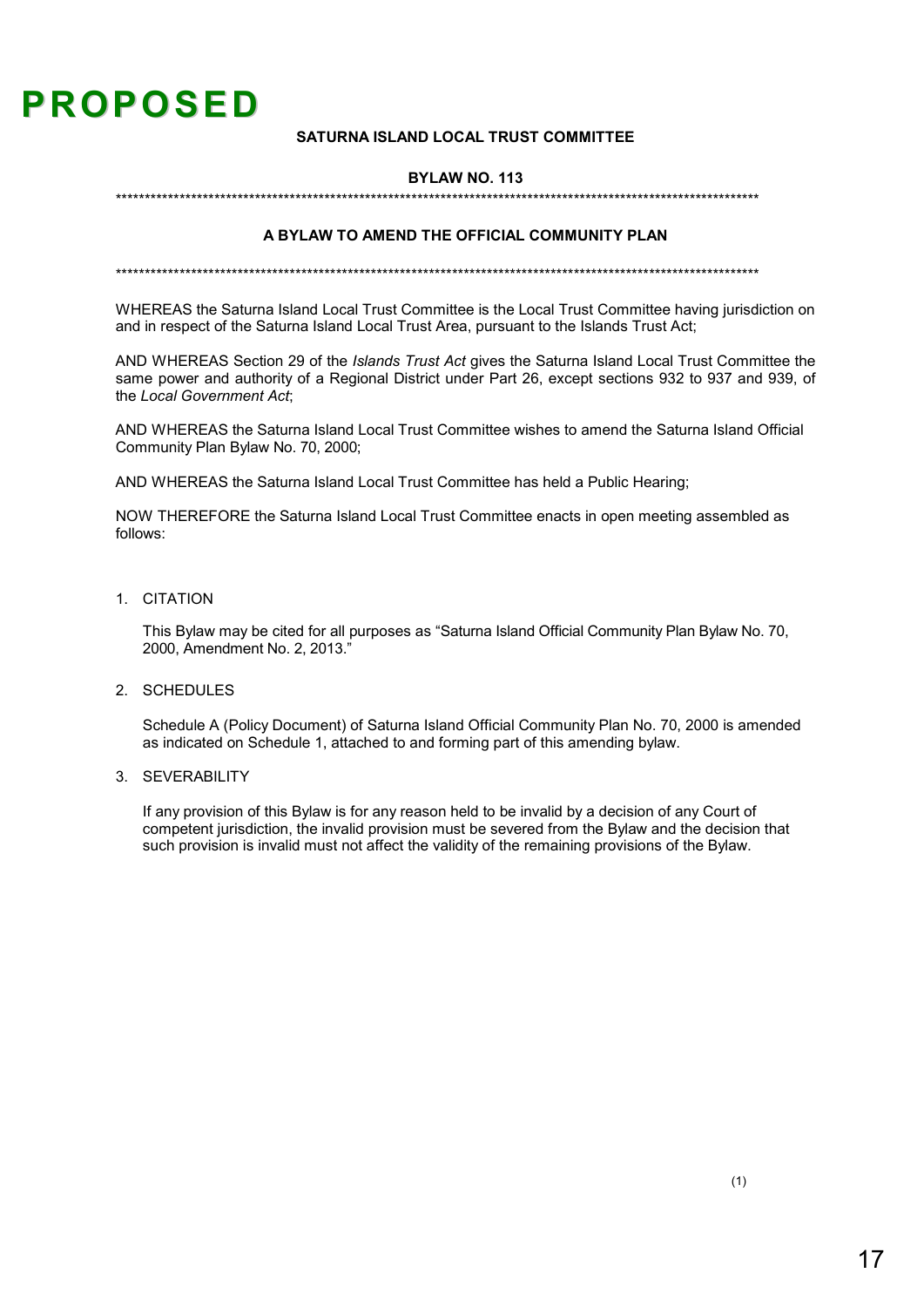# **PROPOSED**

#### **SATURNA ISLAND LOCAL TRUST COMMITTEE**

#### **BYLAW NO. 113**

#### A BYLAW TO AMEND THE OFFICIAL COMMUNITY PLAN

WHEREAS the Saturna Island Local Trust Committee is the Local Trust Committee having jurisdiction on and in respect of the Saturna Island Local Trust Area, pursuant to the Islands Trust Act;

AND WHEREAS Section 29 of the *Islands Trust Act* gives the Saturna Island Local Trust Committee the same power and authority of a Regional District under Part 26, except sections 932 to 937 and 939, of the Local Government Act.

AND WHEREAS the Saturna Island Local Trust Committee wishes to amend the Saturna Island Official Community Plan Bylaw No. 70, 2000;

AND WHEREAS the Saturna Island Local Trust Committee has held a Public Hearing;

NOW THEREFORE the Saturna Island Local Trust Committee enacts in open meeting assembled as follows:

1. CITATION

This Bylaw may be cited for all purposes as "Saturna Island Official Community Plan Bylaw No. 70, 2000, Amendment No. 2, 2013."

2. SCHEDULES

Schedule A (Policy Document) of Saturna Island Official Community Plan No. 70, 2000 is amended as indicated on Schedule 1, attached to and forming part of this amending bylaw.

3 SEVERABILITY

If any provision of this Bylaw is for any reason held to be invalid by a decision of any Court of competent jurisdiction, the invalid provision must be severed from the Bylaw and the decision that such provision is invalid must not affect the validity of the remaining provisions of the Bylaw.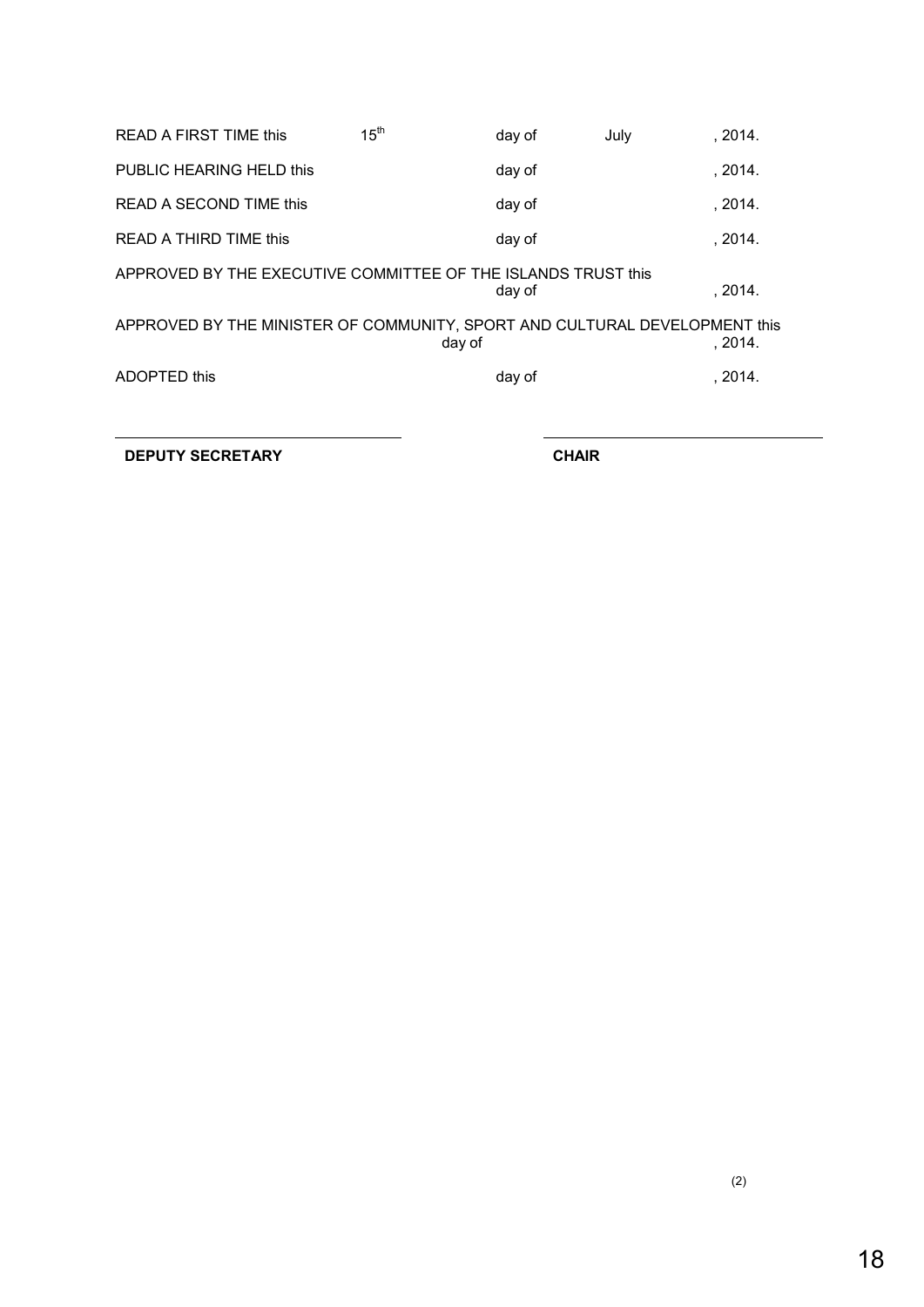| <b>READ A FIRST TIME this</b>                                              | 15 <sup>th</sup> | day of | July | , 2014. |
|----------------------------------------------------------------------------|------------------|--------|------|---------|
| PUBLIC HEARING HELD this                                                   |                  | day of |      | , 2014. |
| READ A SECOND TIME this                                                    |                  | day of |      | .2014.  |
| READ A THIRD TIME this                                                     |                  | day of |      | .2014.  |
| APPROVED BY THE EXECUTIVE COMMITTEE OF THE ISLANDS TRUST this              |                  | day of |      | .2014.  |
| APPROVED BY THE MINISTER OF COMMUNITY, SPORT AND CULTURAL DEVELOPMENT this | day of           |        |      | .2014.  |
| ADOPTED this                                                               |                  | day of |      | .2014.  |
|                                                                            |                  |        |      |         |

**DEPUTY SECRETARY CHAIR**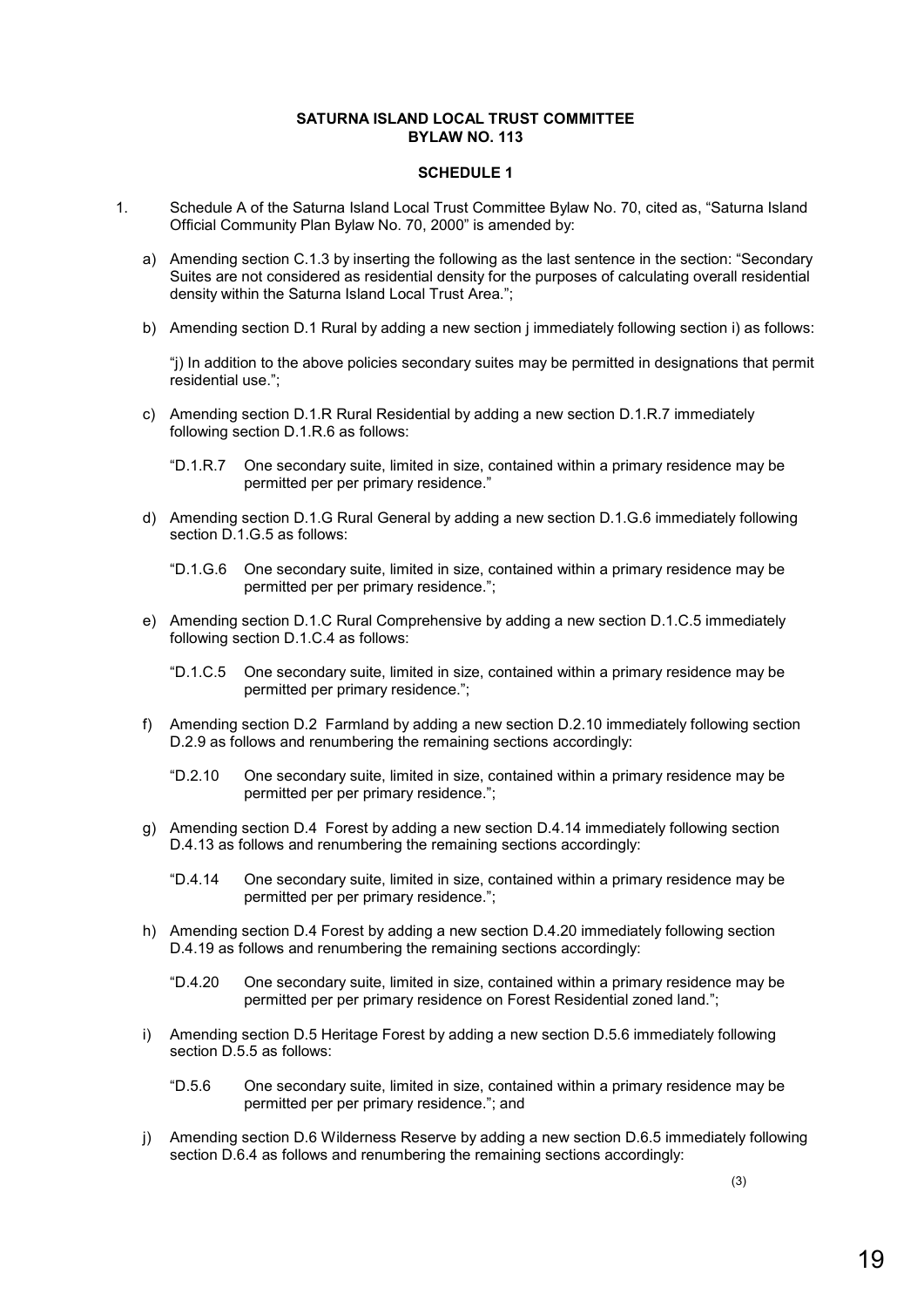#### **SATURNA ISLAND LOCAL TRUST COMMITTEE BYLAW NO. 113**

#### **SCHEDULE 1**

- 1. Schedule A of the Saturna Island Local Trust Committee Bylaw No. 70, cited as, "Saturna Island Official Community Plan Bylaw No. 70, 2000" is amended by:
	- a) Amending section C.1.3 by inserting the following as the last sentence in the section: "Secondary Suites are not considered as residential density for the purposes of calculating overall residential density within the Saturna Island Local Trust Area.";
	- b) Amending section D.1 Rural by adding a new section j immediately following section i) as follows:

"j) In addition to the above policies secondary suites may be permitted in designations that permit residential use.";

- c) Amending section D.1.R Rural Residential by adding a new section D.1.R.7 immediately following section D.1.R.6 as follows:
	- "D.1.R.7 One secondary suite, limited in size, contained within a primary residence may be permitted per per primary residence."
- d) Amending section D.1.G Rural General by adding a new section D.1.G.6 immediately following section D.1.G.5 as follows:
	- "D.1.G.6 One secondary suite, limited in size, contained within a primary residence may be permitted per per primary residence.";
- e) Amending section D.1.C Rural Comprehensive by adding a new section D.1.C.5 immediately following section D.1.C.4 as follows:
	- "D.1.C.5 One secondary suite, limited in size, contained within a primary residence may be permitted per primary residence.";
- f) Amending section D.2 Farmland by adding a new section D.2.10 immediately following section D.2.9 as follows and renumbering the remaining sections accordingly:
	- "D.2.10 One secondary suite, limited in size, contained within a primary residence may be permitted per per primary residence.";
- g) Amending section D.4 Forest by adding a new section D.4.14 immediately following section D.4.13 as follows and renumbering the remaining sections accordingly:
	- "D.4.14 One secondary suite, limited in size, contained within a primary residence may be permitted per per primary residence.";
- h) Amending section D.4 Forest by adding a new section D.4.20 immediately following section D.4.19 as follows and renumbering the remaining sections accordingly:
	- "D.4.20 One secondary suite, limited in size, contained within a primary residence may be permitted per per primary residence on Forest Residential zoned land.";
- i) Amending section D.5 Heritage Forest by adding a new section D.5.6 immediately following section D.5.5 as follows:
	- "D.5.6 One secondary suite, limited in size, contained within a primary residence may be permitted per per primary residence."; and
- j) Amending section D.6 Wilderness Reserve by adding a new section D.6.5 immediately following section D.6.4 as follows and renumbering the remaining sections accordingly:

(3)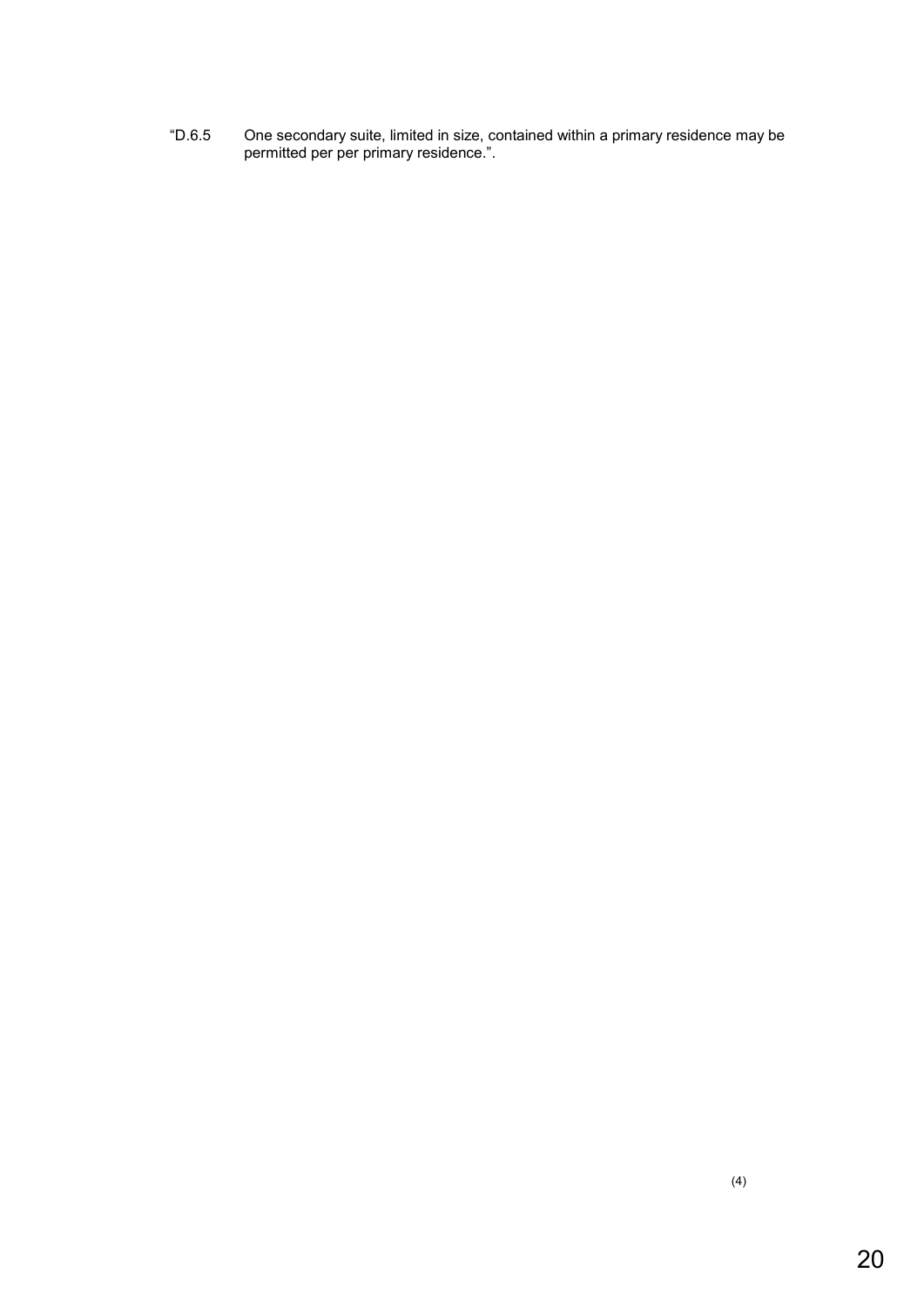"D.6.5 One secondary suite, limited in size, contained within a primary residence may be permitted per per primary residence.".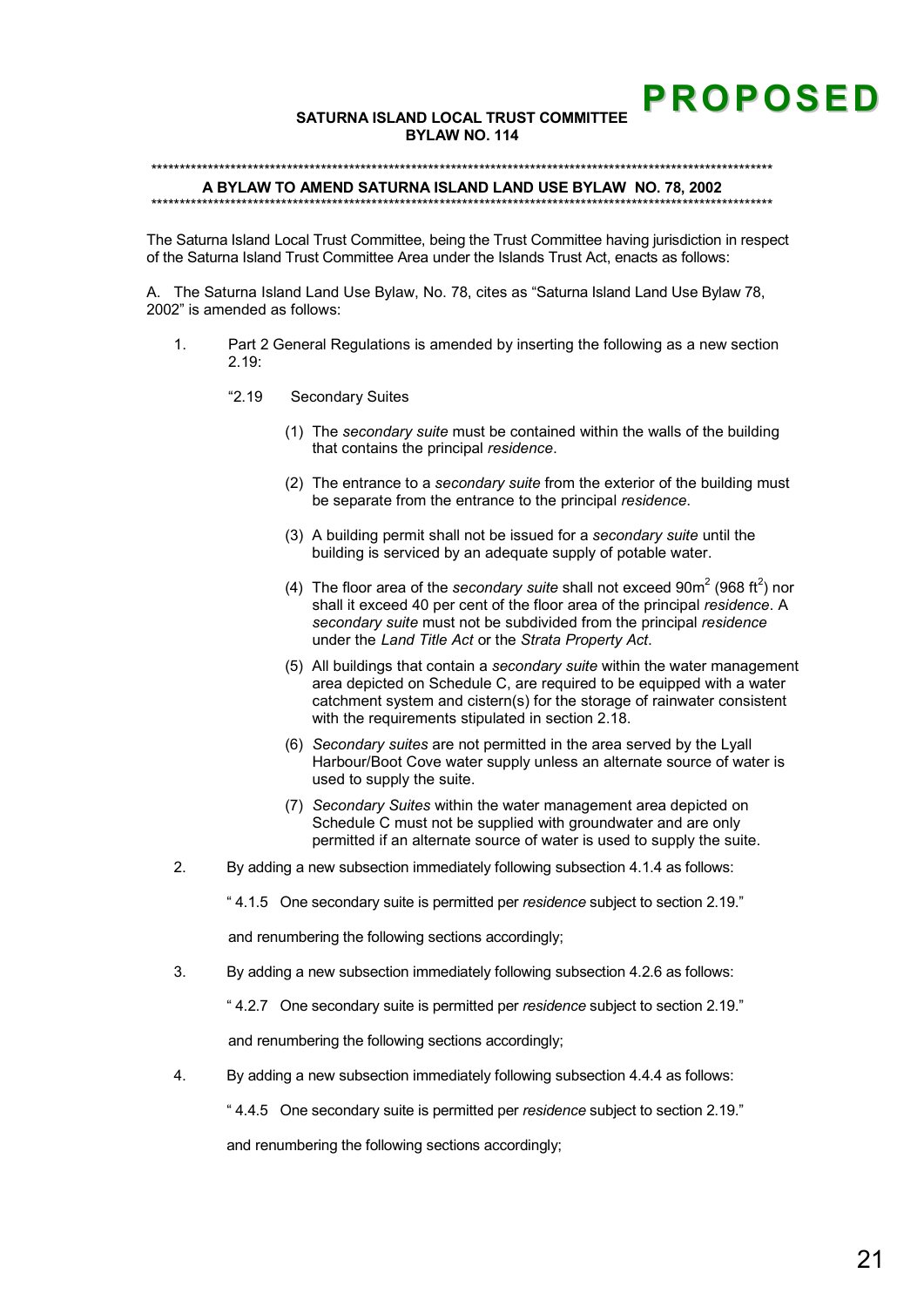# **PROPOSED**

#### SATURNA ISLAND LOCAL TRUST COMMITTEE BYLAW NO. 114

#### 

#### A BYLAW TO AMEND SATURNA ISLAND LAND USE BYLAW NO. 78, 2002

The Saturna Island Local Trust Committee, being the Trust Committee having jurisdiction in respect of the Saturna Island Trust Committee Area under the Islands Trust Act, enacts as follows:

A. The Saturna Island Land Use Bylaw, No. 78, cites as "Saturna Island Land Use Bylaw 78, 2002" is amended as follows:

- Part 2 General Regulations is amended by inserting the following as a new section  $\mathbf{1}$  $2.19 -$ 
	- $"2.19"$ **Secondary Suites** 
		- (1) The secondary suite must be contained within the walls of the building that contains the principal residence.
		- (2) The entrance to a secondary suite from the exterior of the building must be separate from the entrance to the principal residence.
		- (3) A building permit shall not be issued for a secondary suite until the building is serviced by an adequate supply of potable water.
		- (4) The floor area of the secondary suite shall not exceed  $90m^2$  (968 ft<sup>2</sup>) nor shall it exceed 40 per cent of the floor area of the principal residence. A secondary suite must not be subdivided from the principal residence under the Land Title Act or the Strata Property Act.
		- (5) All buildings that contain a secondary suite within the water management area depicted on Schedule C, are required to be equipped with a water catchment system and cistern(s) for the storage of rainwater consistent with the requirements stipulated in section 2.18.
		- (6) Secondary suites are not permitted in the area served by the Lyall Harbour/Boot Cove water supply unless an alternate source of water is used to supply the suite.
		- (7) Secondary Suites within the water management area depicted on Schedule C must not be supplied with groundwater and are only permitted if an alternate source of water is used to supply the suite.
- $2.$ By adding a new subsection immediately following subsection 4.1.4 as follows:

"4.1.5 One secondary suite is permitted per residence subject to section 2.19."

and renumbering the following sections accordingly;

 $\overline{3}$ . By adding a new subsection immediately following subsection 4.2.6 as follows:

"4.2.7 One secondary suite is permitted per residence subject to section 2.19."

and renumbering the following sections accordingly;

 $\overline{4}$ . By adding a new subsection immediately following subsection 4.4.4 as follows:

"4.4.5 One secondary suite is permitted per residence subject to section 2.19."

and renumbering the following sections accordingly;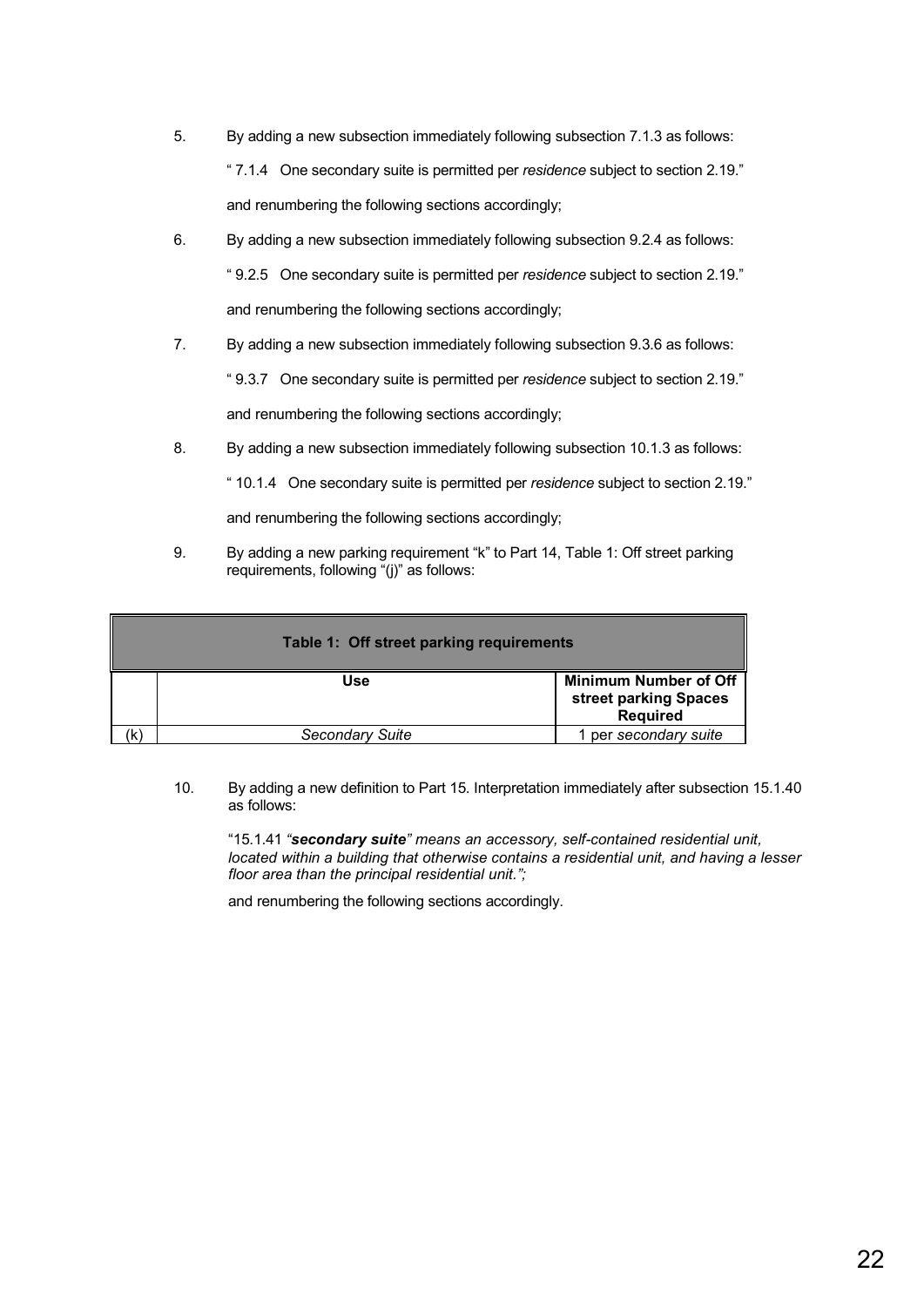- 5. By adding a new subsection immediately following subsection 7.1.3 as follows: " 7.1.4 One secondary suite is permitted per *residence* subject to section 2.19." and renumbering the following sections accordingly;
- 6. By adding a new subsection immediately following subsection 9.2.4 as follows: " 9.2.5 One secondary suite is permitted per *residence* subject to section 2.19." and renumbering the following sections accordingly;
- 7. By adding a new subsection immediately following subsection 9.3.6 as follows:

" 9.3.7 One secondary suite is permitted per *residence* subject to section 2.19."

and renumbering the following sections accordingly;

8. By adding a new subsection immediately following subsection 10.1.3 as follows:

" 10.1.4 One secondary suite is permitted per *residence* subject to section 2.19."

and renumbering the following sections accordingly;

9. By adding a new parking requirement "k" to Part 14, Table 1: Off street parking requirements, following "(j)" as follows:

|    | Table 1: Off street parking requirements |                                                                          |  |  |  |
|----|------------------------------------------|--------------------------------------------------------------------------|--|--|--|
|    | Use                                      | <b>Minimum Number of Off</b><br>street parking Spaces<br><b>Required</b> |  |  |  |
| K) | <b>Secondary Suite</b>                   | 1 per secondary suite                                                    |  |  |  |

10. By adding a new definition to Part 15. Interpretation immediately after subsection 15.1.40 as follows:

"15.1.41 *"secondary suite" means an accessory, self-contained residential unit, located within a building that otherwise contains a residential unit, and having a lesser floor area than the principal residential unit.";* 

and renumbering the following sections accordingly.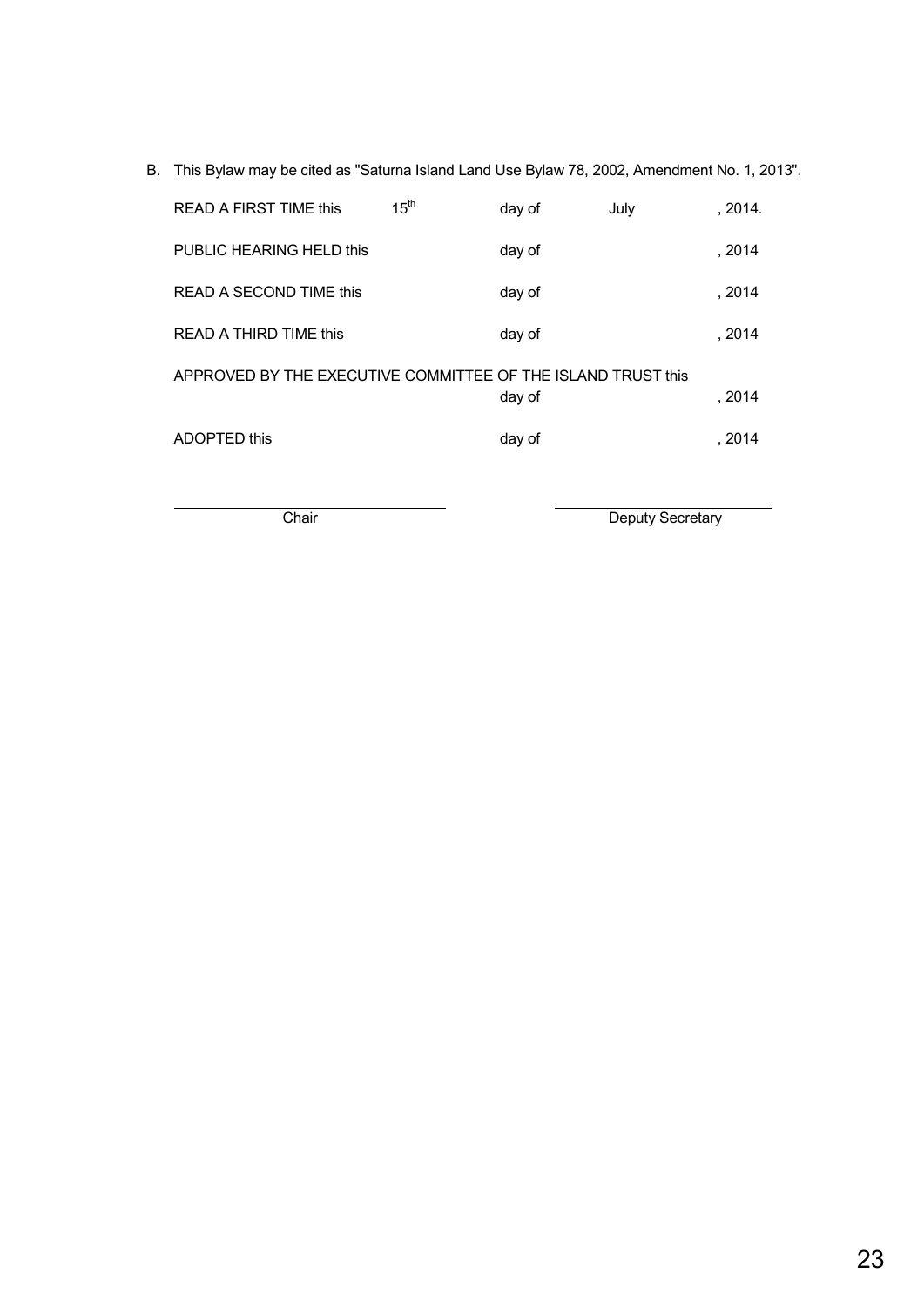B. This Bylaw may be cited as "Saturna Island Land Use Bylaw 78, 2002, Amendment No. 1, 2013".

| <b>READ A FIRST TIME this</b>                                | 15 <sup>th</sup> | day of | July | . 2014. |
|--------------------------------------------------------------|------------------|--------|------|---------|
| PUBLIC HEARING HELD this                                     |                  | day of |      | . 2014  |
| READ A SECOND TIME this                                      |                  | day of |      | . 2014  |
| READ A THIRD TIME this                                       |                  | day of |      | . 2014  |
| APPROVED BY THE EXECUTIVE COMMITTEE OF THE ISLAND TRUST this |                  | day of |      | . 2014  |
| ADOPTED this                                                 |                  | day of |      | . 2014  |

 $\overline{a}$ 

Chair Deputy Secretary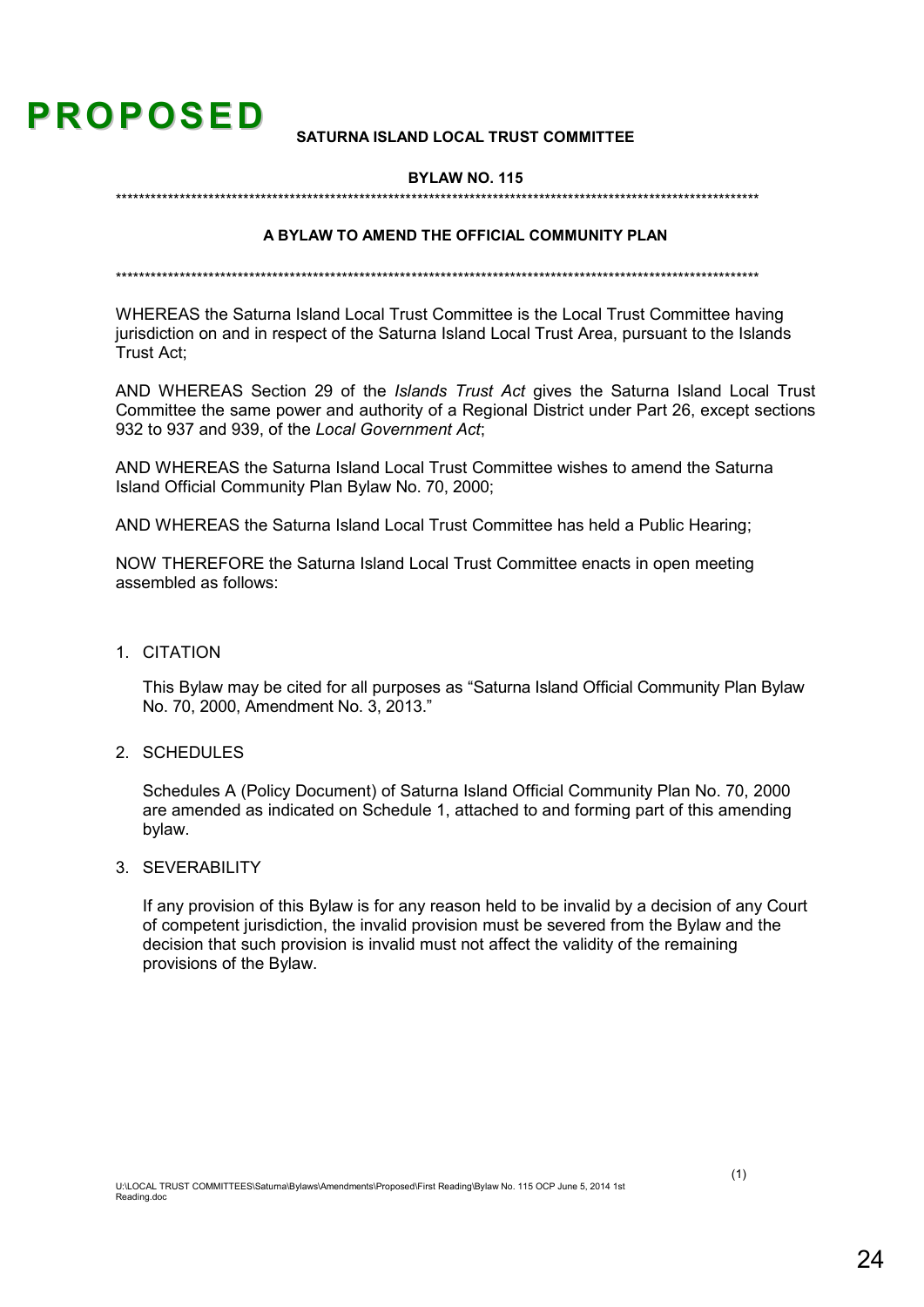# **PROPOSED**

#### SATURNA ISI AND LOCAL TRUST COMMITTEE

#### **BYLAW NO. 115**

#### A BYLAW TO AMEND THE OFFICIAL COMMUNITY PLAN

WHEREAS the Saturna Island Local Trust Committee is the Local Trust Committee having jurisdiction on and in respect of the Saturna Island Local Trust Area, pursuant to the Islands Trust Act:

AND WHEREAS Section 29 of the Islands Trust Act gives the Saturna Island Local Trust Committee the same power and authority of a Regional District under Part 26, except sections 932 to 937 and 939, of the Local Government Act;

AND WHEREAS the Saturna Island Local Trust Committee wishes to amend the Saturna Island Official Community Plan Bylaw No. 70, 2000:

AND WHEREAS the Saturna Island Local Trust Committee has held a Public Hearing:

NOW THEREFORE the Saturna Island Local Trust Committee enacts in open meeting assembled as follows:

1. CITATION

This Bylaw may be cited for all purposes as "Saturna Island Official Community Plan Bylaw No. 70, 2000. Amendment No. 3, 2013."

2. SCHEDULES

Schedules A (Policy Document) of Saturna Island Official Community Plan No. 70, 2000 are amended as indicated on Schedule 1, attached to and forming part of this amending bylaw.

3. SEVERABILITY

If any provision of this Bylaw is for any reason held to be invalid by a decision of any Court of competent jurisdiction, the invalid provision must be severed from the Bylaw and the decision that such provision is invalid must not affect the validity of the remaining provisions of the Bylaw.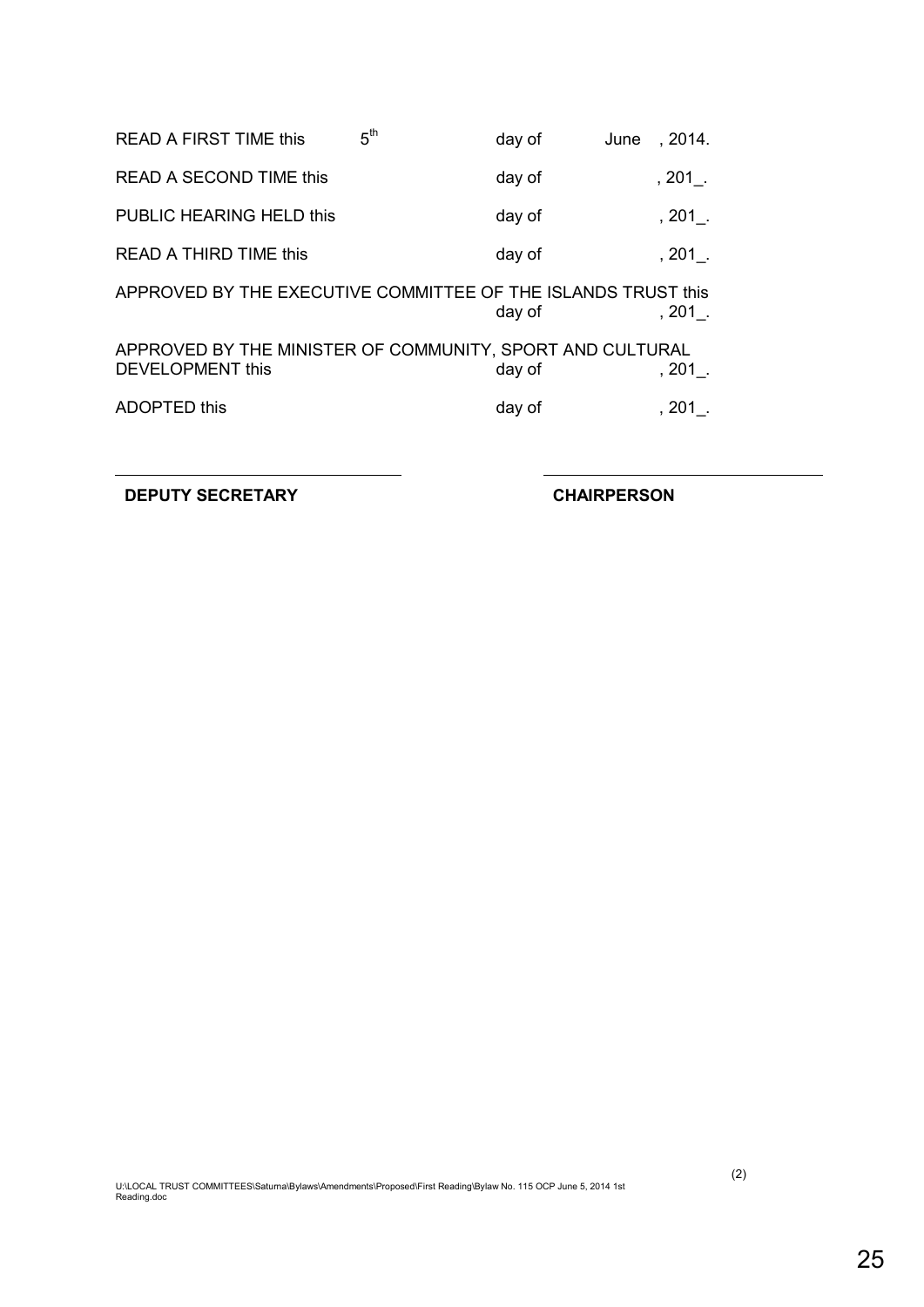| <b>READ A FIRST TIME this</b>                                                 | 5 <sup>th</sup> | day of | June | , 2014.   |
|-------------------------------------------------------------------------------|-----------------|--------|------|-----------|
| <b>READ A SECOND TIME this</b>                                                |                 | day of |      | $, 201$ . |
| PUBLIC HEARING HELD this                                                      |                 | day of |      | $, 201$ . |
| <b>READ A THIRD TIME this</b>                                                 |                 | day of |      | $, 201$ . |
| APPROVED BY THE EXECUTIVE COMMITTEE OF THE ISLANDS TRUST this                 |                 | day of |      | $, 201$ . |
| APPROVED BY THE MINISTER OF COMMUNITY, SPORT AND CULTURAL<br>DEVELOPMENT this |                 | day of |      | $, 201$ . |
| <b>ADOPTED this</b>                                                           |                 | day of |      | $, 201$ . |
|                                                                               |                 |        |      |           |

**DEPUTY SECRETARY CHAIRPERSON**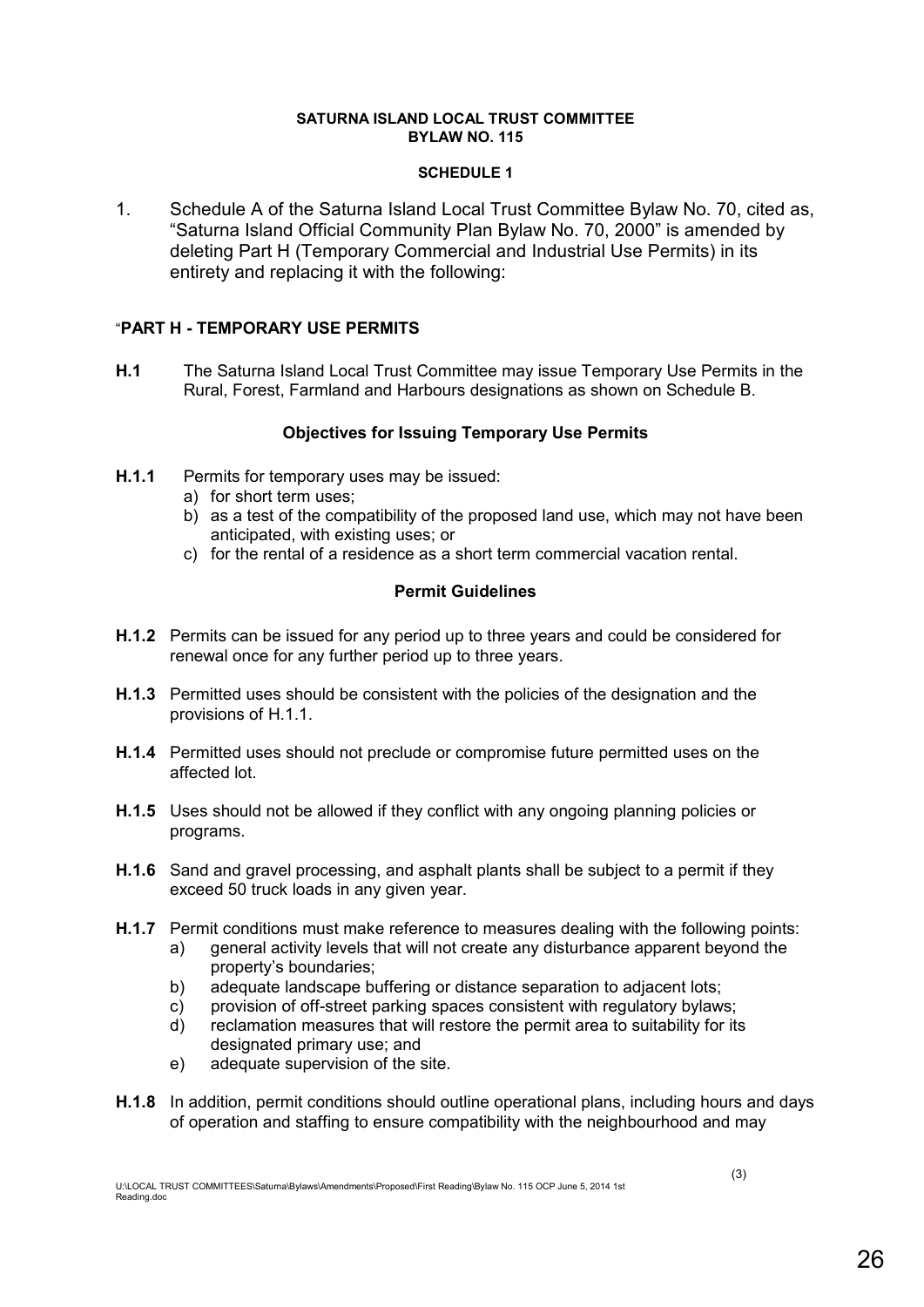#### **SATURNA ISLAND LOCAL TRUST COMMITTEE BYLAW NO. 115**

#### **SCHEDULE 1**

1. Schedule A of the Saturna Island Local Trust Committee Bylaw No. 70, cited as, "Saturna Island Official Community Plan Bylaw No. 70, 2000" is amended by deleting Part H (Temporary Commercial and Industrial Use Permits) in its entirety and replacing it with the following:

#### "**PART H - TEMPORARY USE PERMITS**

**H.1** The Saturna Island Local Trust Committee may issue Temporary Use Permits in the Rural, Forest, Farmland and Harbours designations as shown on Schedule B.

#### **Objectives for Issuing Temporary Use Permits**

- **H.1.1** Permits for temporary uses may be issued:
	- a) for short term uses;
	- b) as a test of the compatibility of the proposed land use, which may not have been anticipated, with existing uses; or
	- c) for the rental of a residence as a short term commercial vacation rental.

#### **Permit Guidelines**

- **H.1.2** Permits can be issued for any period up to three years and could be considered for renewal once for any further period up to three years.
- **H.1.3** Permitted uses should be consistent with the policies of the designation and the provisions of H.1.1.
- **H.1.4** Permitted uses should not preclude or compromise future permitted uses on the affected lot.
- **H.1.5** Uses should not be allowed if they conflict with any ongoing planning policies or programs.
- **H.1.6** Sand and gravel processing, and asphalt plants shall be subject to a permit if they exceed 50 truck loads in any given year.
- **H.1.7** Permit conditions must make reference to measures dealing with the following points:
	- a) general activity levels that will not create any disturbance apparent beyond the property's boundaries;
	- b) adequate landscape buffering or distance separation to adjacent lots;
	- c) provision of off-street parking spaces consistent with regulatory bylaws;
	- d) reclamation measures that will restore the permit area to suitability for its designated primary use; and
	- e) adequate supervision of the site.
- **H.1.8** In addition, permit conditions should outline operational plans, including hours and days of operation and staffing to ensure compatibility with the neighbourhood and may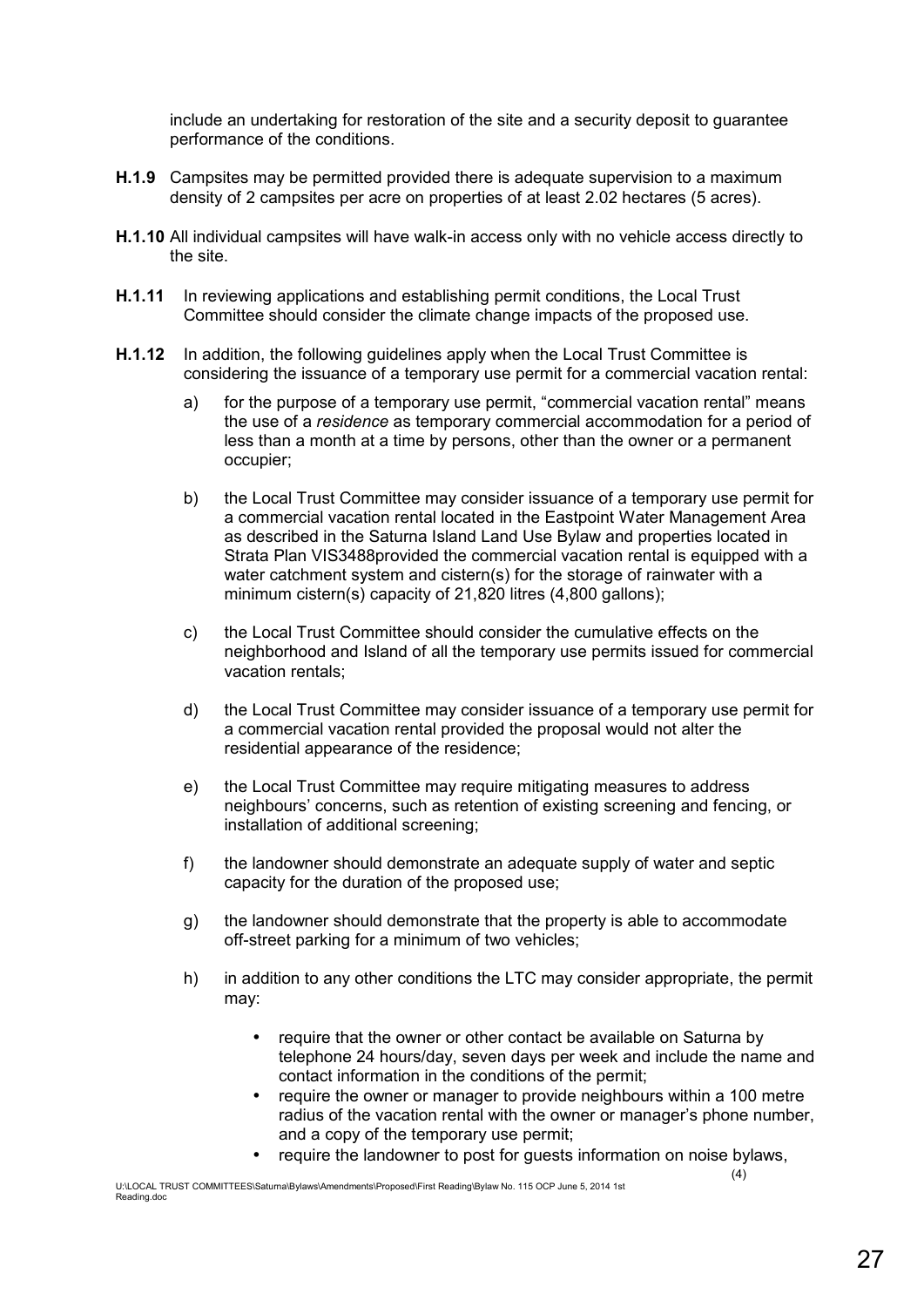include an undertaking for restoration of the site and a security deposit to guarantee performance of the conditions.

- **H.1.9** Campsites may be permitted provided there is adequate supervision to a maximum density of 2 campsites per acre on properties of at least 2.02 hectares (5 acres).
- **H.1.10** All individual campsites will have walk-in access only with no vehicle access directly to the site.
- **H.1.11** In reviewing applications and establishing permit conditions, the Local Trust Committee should consider the climate change impacts of the proposed use.
- **H.1.12** In addition, the following guidelines apply when the Local Trust Committee is considering the issuance of a temporary use permit for a commercial vacation rental:
	- a) for the purpose of a temporary use permit, "commercial vacation rental" means the use of a *residence* as temporary commercial accommodation for a period of less than a month at a time by persons, other than the owner or a permanent occupier;
	- b) the Local Trust Committee may consider issuance of a temporary use permit for a commercial vacation rental located in the Eastpoint Water Management Area as described in the Saturna Island Land Use Bylaw and properties located in Strata Plan VIS3488provided the commercial vacation rental is equipped with a water catchment system and cistern(s) for the storage of rainwater with a minimum cistern(s) capacity of 21,820 litres (4,800 gallons);
	- c) the Local Trust Committee should consider the cumulative effects on the neighborhood and Island of all the temporary use permits issued for commercial vacation rentals;
	- d) the Local Trust Committee may consider issuance of a temporary use permit for a commercial vacation rental provided the proposal would not alter the residential appearance of the residence;
	- e) the Local Trust Committee may require mitigating measures to address neighbours' concerns, such as retention of existing screening and fencing, or installation of additional screening;
	- f) the landowner should demonstrate an adequate supply of water and septic capacity for the duration of the proposed use;
	- g) the landowner should demonstrate that the property is able to accommodate off-street parking for a minimum of two vehicles;
	- h) in addition to any other conditions the LTC may consider appropriate, the permit may:
		- require that the owner or other contact be available on Saturna by telephone 24 hours/day, seven days per week and include the name and contact information in the conditions of the permit;
		- require the owner or manager to provide neighbours within a 100 metre radius of the vacation rental with the owner or manager's phone number, and a copy of the temporary use permit;
		- require the landowner to post for quests information on noise bylaws,

 $(4)$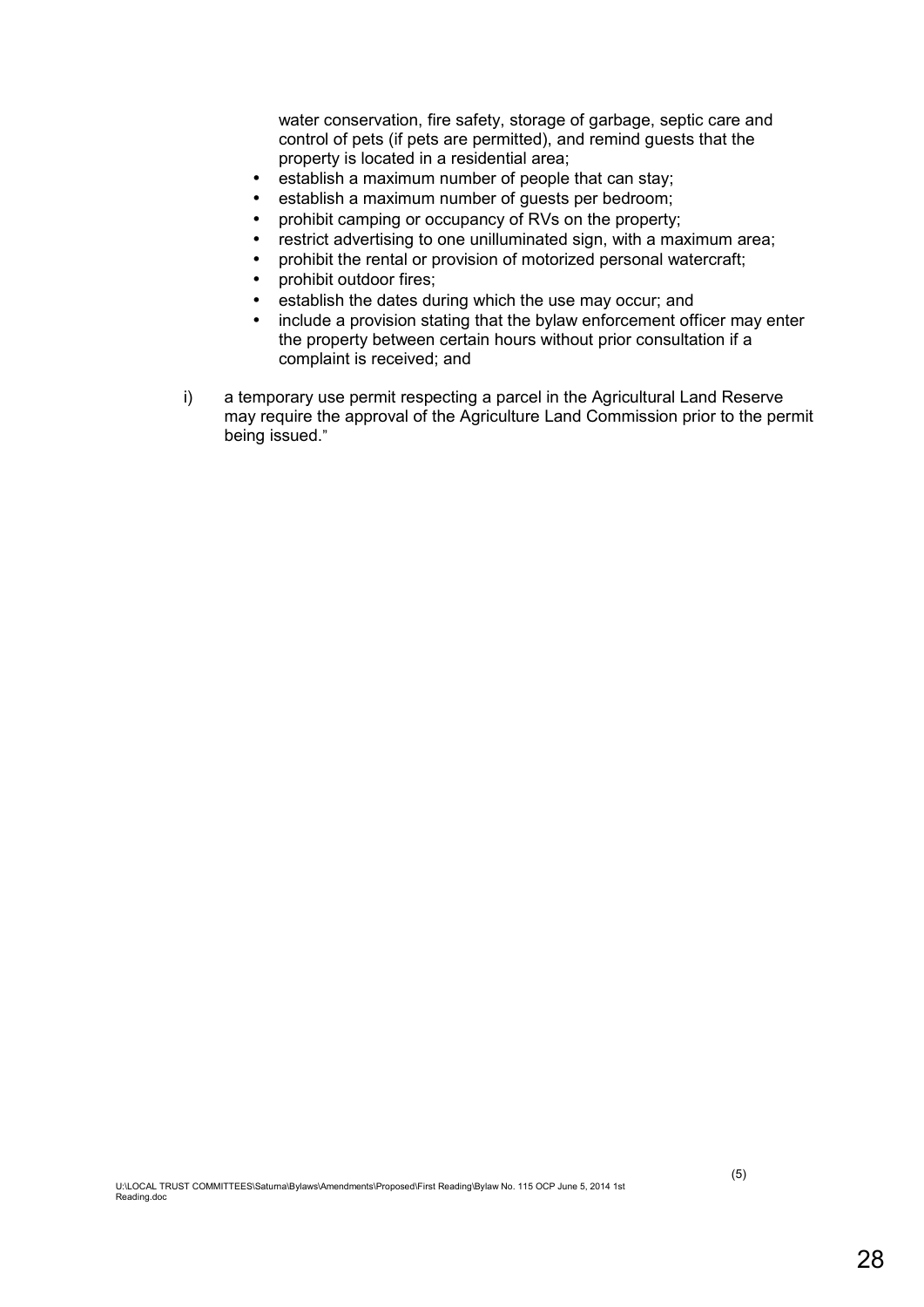water conservation, fire safety, storage of garbage, septic care and control of pets (if pets are permitted), and remind guests that the property is located in a residential area;

- establish a maximum number of people that can stay;
- establish a maximum number of guests per bedroom;
- prohibit camping or occupancy of RVs on the property;
- restrict advertising to one unilluminated sign, with a maximum area;
- prohibit the rental or provision of motorized personal watercraft;
- prohibit outdoor fires;
- establish the dates during which the use may occur; and
- include a provision stating that the bylaw enforcement officer may enter the property between certain hours without prior consultation if a complaint is received; and
- i) a temporary use permit respecting a parcel in the Agricultural Land Reserve may require the approval of the Agriculture Land Commission prior to the permit being issued."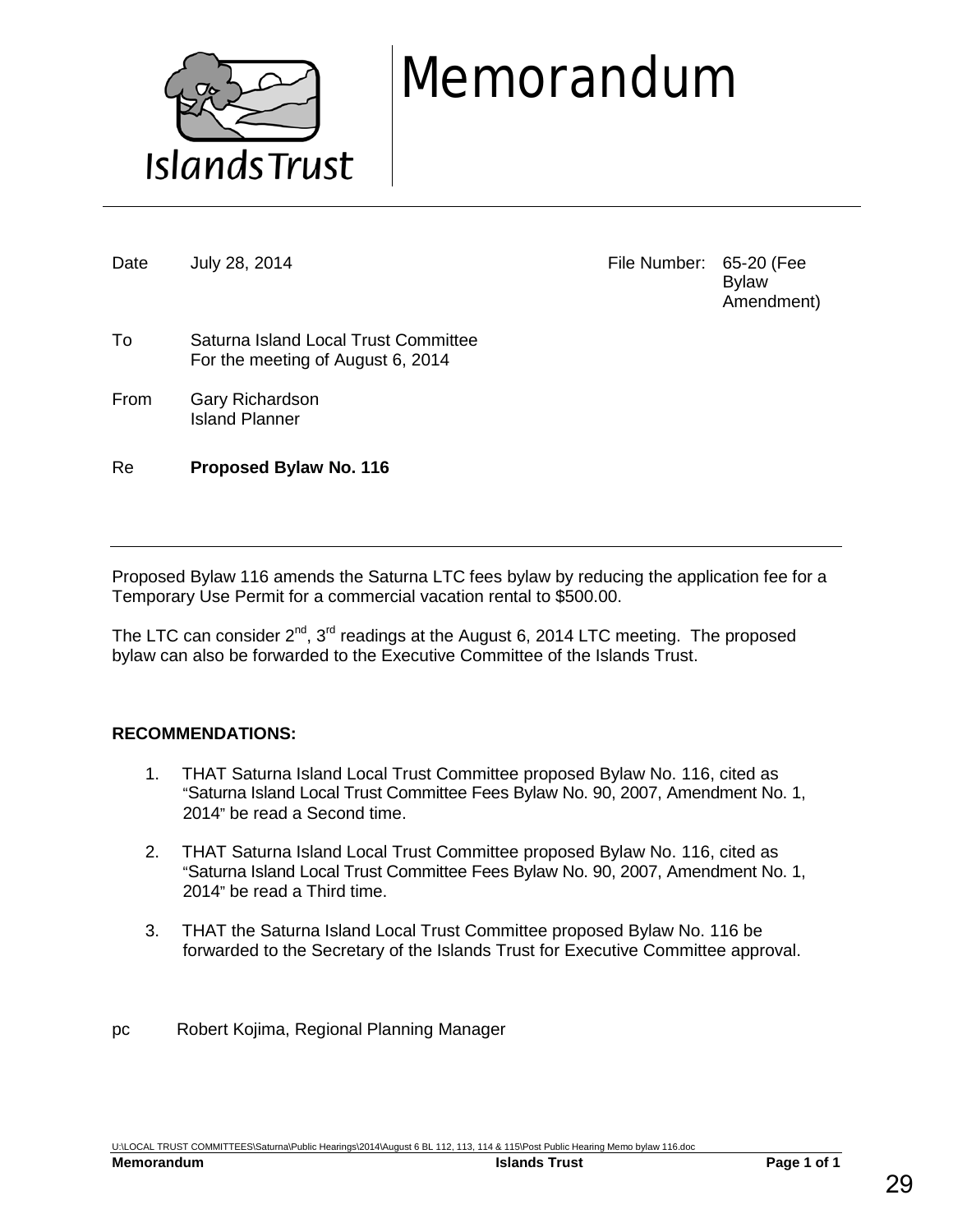

# Memorandum

Date July 28, 2014 **File Number: 65-20 (Fee** Bylaw Amendment)

- To Saturna Island Local Trust Committee For the meeting of August 6, 2014
- From Gary Richardson Island Planner

Re **Proposed Bylaw No. 116**

Proposed Bylaw 116 amends the Saturna LTC fees bylaw by reducing the application fee for a Temporary Use Permit for a commercial vacation rental to \$500.00.

The LTC can consider  $2^{nd}$ ,  $3^{rd}$  readings at the August 6, 2014 LTC meeting. The proposed bylaw can also be forwarded to the Executive Committee of the Islands Trust.

#### **RECOMMENDATIONS:**

- 1. THAT Saturna Island Local Trust Committee proposed Bylaw No. 116, cited as "Saturna Island Local Trust Committee Fees Bylaw No. 90, 2007, Amendment No. 1, 2014" be read a Second time.
- 2. THAT Saturna Island Local Trust Committee proposed Bylaw No. 116, cited as "Saturna Island Local Trust Committee Fees Bylaw No. 90, 2007, Amendment No. 1, 2014" be read a Third time.
- 3. THAT the Saturna Island Local Trust Committee proposed Bylaw No. 116 be forwarded to the Secretary of the Islands Trust for Executive Committee approval.
- pc Robert Kojima, Regional Planning Manager

U:\LOCAL TRUST COMMITTEES\Saturna\Public Hearings\2014\August 6 BL 112, 113, 114 & 115\Post Public Hearing Memo bylaw 116.doc